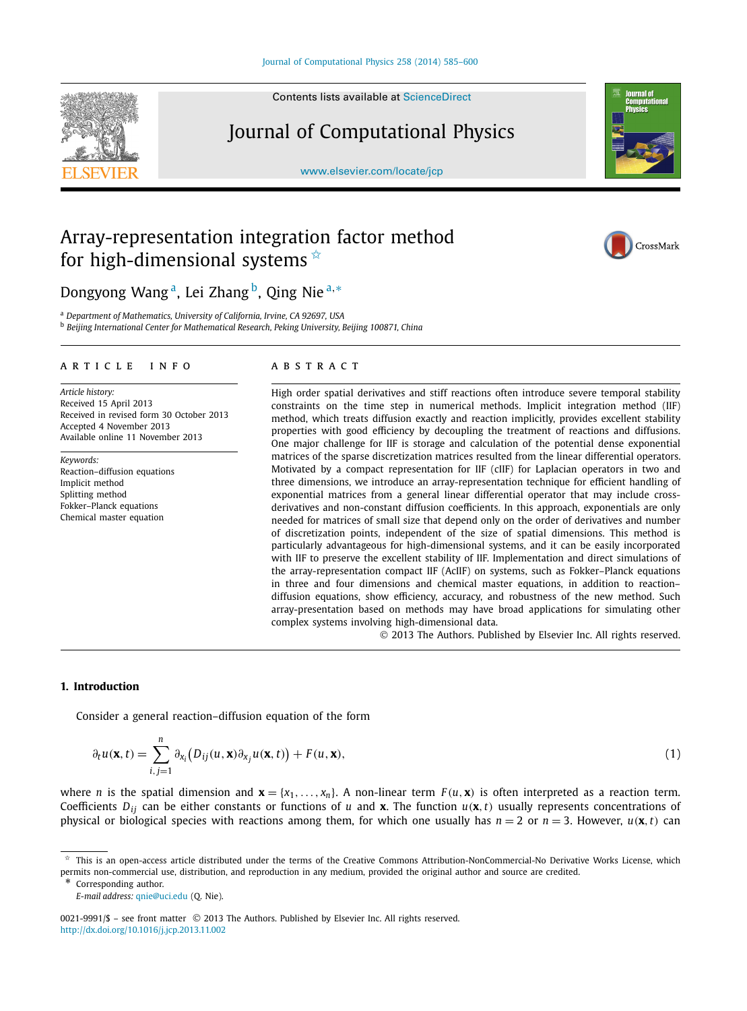Contents lists available at [ScienceDirect](http://www.ScienceDirect.com/)

# Journal of Computational Physics

[www.elsevier.com/locate/jcp](http://www.elsevier.com/locate/jcp)

# Array-representation integration factor method for high-dimensional systems  $\dot{\mathbf{x}}$

Dongyong Wang<sup>a</sup>, Lei Zhang<sup>b</sup>, Qing Nie<sup>a,∗</sup>

<sup>a</sup> *Department of Mathematics, University of California, Irvine, CA 92697, USA*

<sup>b</sup> *Beijing International Center for Mathematical Research, Peking University, Beijing 100871, China*

# article info abstract

*Article history:* Received 15 April 2013 Received in revised form 30 October 2013 Accepted 4 November 2013 Available online 11 November 2013

*Keywords:* Reaction–diffusion equations Implicit method Splitting method Fokker–Planck equations Chemical master equation

High order spatial derivatives and stiff reactions often introduce severe temporal stability constraints on the time step in numerical methods. Implicit integration method (IIF) method, which treats diffusion exactly and reaction implicitly, provides excellent stability properties with good efficiency by decoupling the treatment of reactions and diffusions. One major challenge for IIF is storage and calculation of the potential dense exponential matrices of the sparse discretization matrices resulted from the linear differential operators. Motivated by a compact representation for IIF (cIIF) for Laplacian operators in two and three dimensions, we introduce an array-representation technique for efficient handling of exponential matrices from a general linear differential operator that may include crossderivatives and non-constant diffusion coefficients. In this approach, exponentials are only needed for matrices of small size that depend only on the order of derivatives and number of discretization points, independent of the size of spatial dimensions. This method is particularly advantageous for high-dimensional systems, and it can be easily incorporated with IIF to preserve the excellent stability of IIF. Implementation and direct simulations of the array-representation compact IIF (AcIIF) on systems, such as Fokker–Planck equations in three and four dimensions and chemical master equations, in addition to reaction– diffusion equations, show efficiency, accuracy, and robustness of the new method. Such array-presentation based on methods may have broad applications for simulating other complex systems involving high-dimensional data.

© 2013 The Authors. Published by Elsevier Inc. All rights reserved.

# **1. Introduction**

Consider a general reaction–diffusion equation of the form

$$
\partial_t u(\mathbf{x}, t) = \sum_{i,j=1}^n \partial_{x_i} \big( D_{ij}(u, \mathbf{x}) \partial_{x_j} u(\mathbf{x}, t) \big) + F(u, \mathbf{x}), \tag{1}
$$

where *n* is the spatial dimension and  $\mathbf{x} = \{x_1, \ldots, x_n\}$ . A non-linear term  $F(u, \mathbf{x})$  is often interpreted as a reaction term. Coefficients  $D_{ij}$  can be either constants or functions of *u* and **x**. The function  $u(\mathbf{x}, t)$  usually represents concentrations of physical or biological species with reactions among them, for which one usually has  $n = 2$  or  $n = 3$ . However,  $u(\mathbf{x}, t)$  can

\* Corresponding author.

*E-mail address:* [qnie@uci.edu](mailto:qnie@uci.edu) (Q. Nie).

0021-9991/\$ – see front matter © 2013 The Authors. Published by Elsevier Inc. All rights reserved. <http://dx.doi.org/10.1016/j.jcp.2013.11.002>



CrossMark





This is an open-access article distributed under the terms of the Creative Commons Attribution-NonCommercial-No Derivative Works License, which permits non-commercial use, distribution, and reproduction in any medium, provided the original author and source are credited.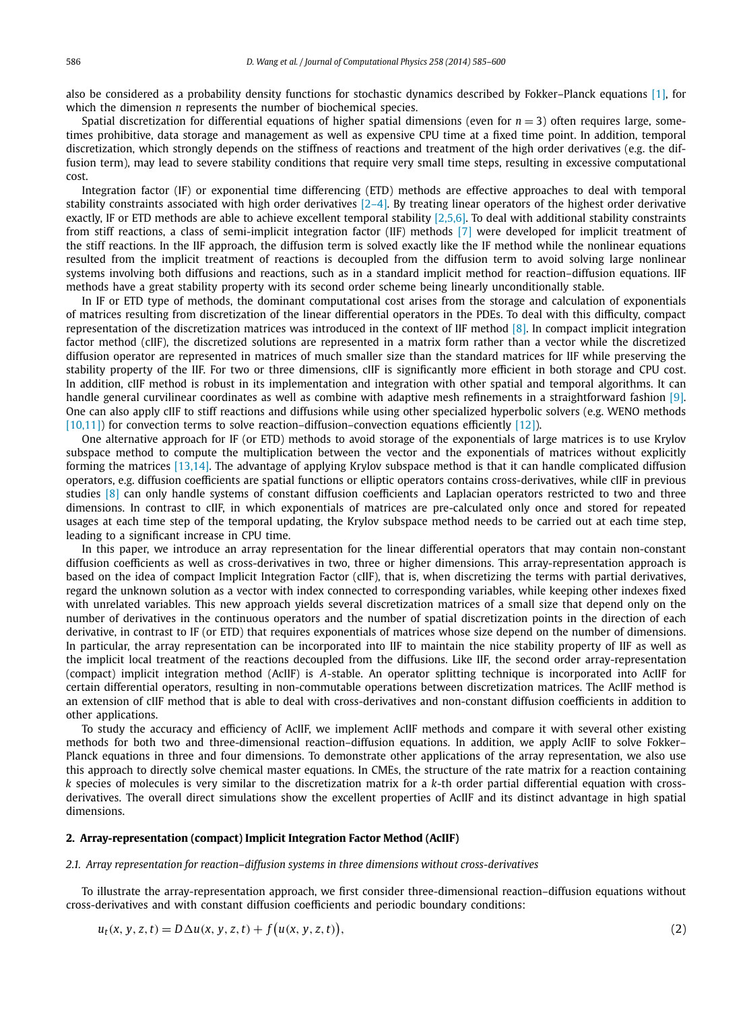<span id="page-1-0"></span>also be considered as a probability density functions for stochastic dynamics described by Fokker–Planck equations [\[1\],](#page-14-0) for which the dimension *n* represents the number of biochemical species.

Spatial discretization for differential equations of higher spatial dimensions (even for  $n = 3$ ) often requires large, sometimes prohibitive, data storage and management as well as expensive CPU time at a fixed time point. In addition, temporal discretization, which strongly depends on the stiffness of reactions and treatment of the high order derivatives (e.g. the diffusion term), may lead to severe stability conditions that require very small time steps, resulting in excessive computational cost.

Integration factor (IF) or exponential time differencing (ETD) methods are effective approaches to deal with temporal stability constraints associated with high order derivatives  $[2-4]$ . By treating linear operators of the highest order derivative exactly, IF or ETD methods are able to achieve excellent temporal stability [\[2,5,6\].](#page-15-0) To deal with additional stability constraints from stiff reactions, a class of semi-implicit integration factor (IIF) methods [\[7\]](#page-15-0) were developed for implicit treatment of the stiff reactions. In the IIF approach, the diffusion term is solved exactly like the IF method while the nonlinear equations resulted from the implicit treatment of reactions is decoupled from the diffusion term to avoid solving large nonlinear systems involving both diffusions and reactions, such as in a standard implicit method for reaction–diffusion equations. IIF methods have a great stability property with its second order scheme being linearly unconditionally stable.

In IF or ETD type of methods, the dominant computational cost arises from the storage and calculation of exponentials of matrices resulting from discretization of the linear differential operators in the PDEs. To deal with this difficulty, compact representation of the discretization matrices was introduced in the context of IIF method [\[8\].](#page-15-0) In compact implicit integration factor method (cIIF), the discretized solutions are represented in a matrix form rather than a vector while the discretized diffusion operator are represented in matrices of much smaller size than the standard matrices for IIF while preserving the stability property of the IIF. For two or three dimensions, cIIF is significantly more efficient in both storage and CPU cost. In addition, cIIF method is robust in its implementation and integration with other spatial and temporal algorithms. It can handle general curvilinear coordinates as well as combine with adaptive mesh refinements in a straightforward fashion [\[9\].](#page-15-0) One can also apply cIIF to stiff reactions and diffusions while using other specialized hyperbolic solvers (e.g. WENO methods [\[10,11\]\)](#page-15-0) for convection terms to solve reaction–diffusion–convection equations efficiently [\[12\]\)](#page-15-0).

One alternative approach for IF (or ETD) methods to avoid storage of the exponentials of large matrices is to use Krylov subspace method to compute the multiplication between the vector and the exponentials of matrices without explicitly forming the matrices [\[13,14\].](#page-15-0) The advantage of applying Krylov subspace method is that it can handle complicated diffusion operators, e.g. diffusion coefficients are spatial functions or elliptic operators contains cross-derivatives, while cIIF in previous studies [\[8\]](#page-15-0) can only handle systems of constant diffusion coefficients and Laplacian operators restricted to two and three dimensions. In contrast to cIIF, in which exponentials of matrices are pre-calculated only once and stored for repeated usages at each time step of the temporal updating, the Krylov subspace method needs to be carried out at each time step, leading to a significant increase in CPU time.

In this paper, we introduce an array representation for the linear differential operators that may contain non-constant diffusion coefficients as well as cross-derivatives in two, three or higher dimensions. This array-representation approach is based on the idea of compact Implicit Integration Factor (cIIF), that is, when discretizing the terms with partial derivatives, regard the unknown solution as a vector with index connected to corresponding variables, while keeping other indexes fixed with unrelated variables. This new approach yields several discretization matrices of a small size that depend only on the number of derivatives in the continuous operators and the number of spatial discretization points in the direction of each derivative, in contrast to IF (or ETD) that requires exponentials of matrices whose size depend on the number of dimensions. In particular, the array representation can be incorporated into IIF to maintain the nice stability property of IIF as well as the implicit local treatment of the reactions decoupled from the diffusions. Like IIF, the second order array-representation (compact) implicit integration method (AcIIF) is *A*-stable. An operator splitting technique is incorporated into AcIIF for certain differential operators, resulting in non-commutable operations between discretization matrices. The AcIIF method is an extension of cIIF method that is able to deal with cross-derivatives and non-constant diffusion coefficients in addition to other applications.

To study the accuracy and efficiency of AcIIF, we implement AcIIF methods and compare it with several other existing methods for both two and three-dimensional reaction–diffusion equations. In addition, we apply AcIIF to solve Fokker– Planck equations in three and four dimensions. To demonstrate other applications of the array representation, we also use this approach to directly solve chemical master equations. In CMEs, the structure of the rate matrix for a reaction containing *k* species of molecules is very similar to the discretization matrix for a *k*-th order partial differential equation with crossderivatives. The overall direct simulations show the excellent properties of AcIIF and its distinct advantage in high spatial dimensions.

# **2. Array-representation (compact) Implicit Integration Factor Method (AcIIF)**

# *2.1. Array representation for reaction–diffusion systems in three dimensions without cross-derivatives*

To illustrate the array-representation approach, we first consider three-dimensional reaction–diffusion equations without cross-derivatives and with constant diffusion coefficients and periodic boundary conditions:

$$
u_t(x, y, z, t) = D\Delta u(x, y, z, t) + f(u(x, y, z, t)),
$$
\n(2)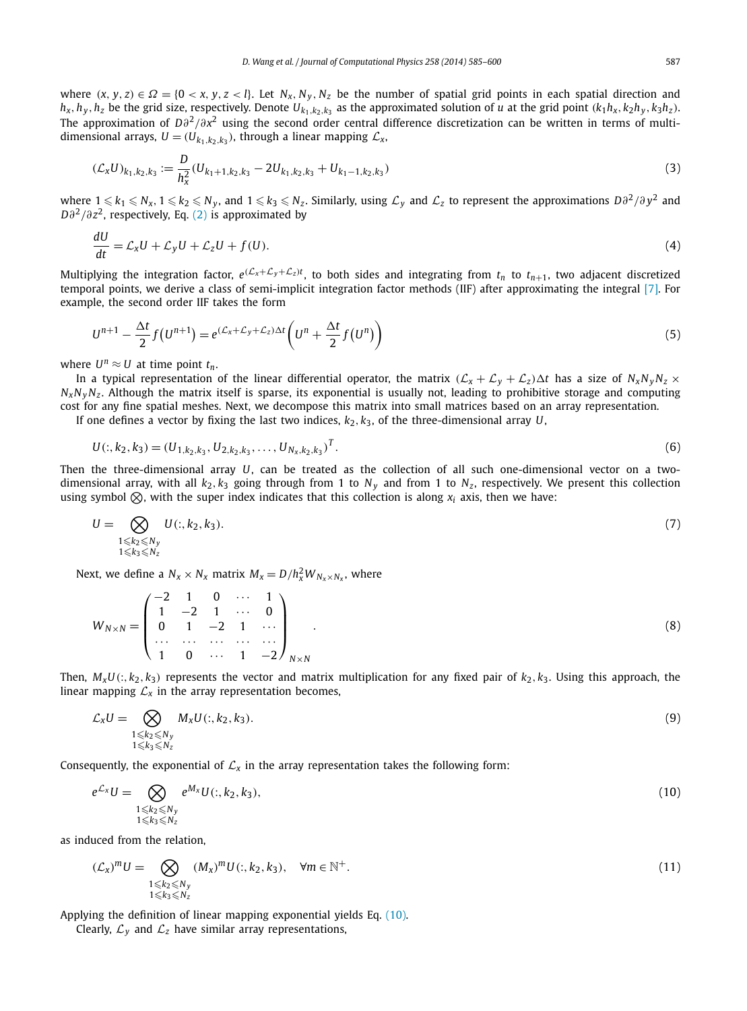<span id="page-2-0"></span>where  $(x, y, z) \in \Omega = \{0 \lt x, y, z \lt l\}$ . Let  $N_x, N_y, N_z$  be the number of spatial grid points in each spatial direction and  $h_x, h_y, h_z$  be the grid size, respectively. Denote  $U_{k_1, k_2, k_3}$  as the approximated solution of u at the grid point  $(k_1h_x, k_2h_y, k_3h_z)$ . The approximation of *D∂<sup>2</sup>/∂x*<sup>2</sup> using the second order central difference discretization can be written in terms of multidimensional arrays,  $U = (U_{k_1,k_2,k_3})$ , through a linear mapping  $\mathcal{L}_x$ ,

$$
(\mathcal{L}_x U)_{k_1, k_2, k_3} := \frac{D}{h_x^2} (U_{k_1 + 1, k_2, k_3} - 2U_{k_1, k_2, k_3} + U_{k_1 - 1, k_2, k_3})
$$
\n<sup>(3)</sup>

where  $1 \leq k_1 \leq N_x$ ,  $1 \leq k_2 \leq N_y$ , and  $1 \leq k_3 \leq N_z$ . Similarly, using  $\mathcal{L}_y$  and  $\mathcal{L}_z$  to represent the approximations  $D\partial^2/\partial y^2$  and *D∂*<sup>2</sup>*/∂z*2, respectively, Eq. [\(2\)](#page-1-0) is approximated by

$$
\frac{dU}{dt} = \mathcal{L}_x U + \mathcal{L}_y U + \mathcal{L}_z U + f(U). \tag{4}
$$

Multiplying the integration factor,  $e^{(\mathcal{L}_x+\mathcal{L}_y+\mathcal{L}_z)t}$ , to both sides and integrating from  $t_n$  to  $t_{n+1}$ , two adjacent discretized temporal points, we derive a class of semi-implicit integration factor methods (IIF) after approximating the integral [\[7\].](#page-15-0) For example, the second order IIF takes the form

$$
U^{n+1} - \frac{\Delta t}{2} f(U^{n+1}) = e^{(\mathcal{L}_x + \mathcal{L}_y + \mathcal{L}_z)\Delta t} \left(U^n + \frac{\Delta t}{2} f(U^n)\right)
$$
\n<sup>(5)</sup>

where  $U^n \approx U$  at time point  $t_n$ .

In a typical representation of the linear differential operator, the matrix  $(\mathcal{L}_x + \mathcal{L}_y + \mathcal{L}_z)\Delta t$  has a size of  $N_xN_yN_z \times$ *N<sub>X</sub>Ny<sub>Nz</sub>*. Although the matrix itself is sparse, its exponential is usually not, leading to prohibitive storage and computing cost for any fine spatial meshes. Next, we decompose this matrix into small matrices based on an array representation.

If one defines a vector by fixing the last two indices,  $k_2, k_3$ , of the three-dimensional array  $U$ ,

$$
U(:, k_2, k_3) = (U_{1,k_2,k_3}, U_{2,k_2,k_3}, \dots, U_{N_x,k_2,k_3})^T.
$$
\n
$$
(6)
$$

Then the three-dimensional array *U*, can be treated as the collection of all such one-dimensional vector on a twodimensional array, with all  $k_2$ ,  $k_3$  going through from 1 to  $N_y$  and from 1 to  $N_z$ , respectively. We present this collection using symbol  $\otimes$ , with the super index indicates that this collection is along  $x_i$  axis, then we have:

$$
U = \bigotimes_{\substack{1 \le k_2 \le N_y \\ 1 \le k_3 \le N_z}} U(:,k_2, k_3). \tag{7}
$$

Next, we define a  $N_x \times N_x$  matrix  $M_x = D/h_x^2 W_{N_x \times N_x}$ , where

$$
W_{N\times N} = \begin{pmatrix} -2 & 1 & 0 & \cdots & 1 \\ 1 & -2 & 1 & \cdots & 0 \\ 0 & 1 & -2 & 1 & \cdots \\ \cdots & \cdots & \cdots & \cdots & \cdots \\ 1 & 0 & \cdots & 1 & -2 \end{pmatrix}_{N\times N}.
$$
 (8)

Then,  $M_xU(:,k_2,k_3)$  represents the vector and matrix multiplication for any fixed pair of  $k_2, k_3$ . Using this approach, the linear mapping  $\mathcal{L}_x$  in the array representation becomes,

$$
\mathcal{L}_x U = \bigotimes_{\substack{1 \le k_2 \le N_y \\ 1 \le k_3 \le N_z}} M_x U(:,k_2, k_3). \tag{9}
$$

Consequently, the exponential of  $\mathcal{L}_x$  in the array representation takes the following form:

$$
e^{\mathcal{L}_x}U = \bigotimes_{\substack{1 \leq k_2 \leq N_y \\ 1 \leq k_3 \leq N_z}} e^{M_x}U(:,k_2,k_3),\tag{10}
$$

as induced from the relation,

$$
(\mathcal{L}_x)^m U = \bigotimes_{\substack{1 \le k_2 \le N_y \\ 1 \le k_3 \le N_z}} (M_x)^m U(:,k_2, k_3), \quad \forall m \in \mathbb{N}^+.
$$
\n
$$
(11)
$$

Applying the definition of linear mapping exponential yields Eq. (10). Clearly,  $\mathcal{L}_y$  and  $\mathcal{L}_z$  have similar array representations,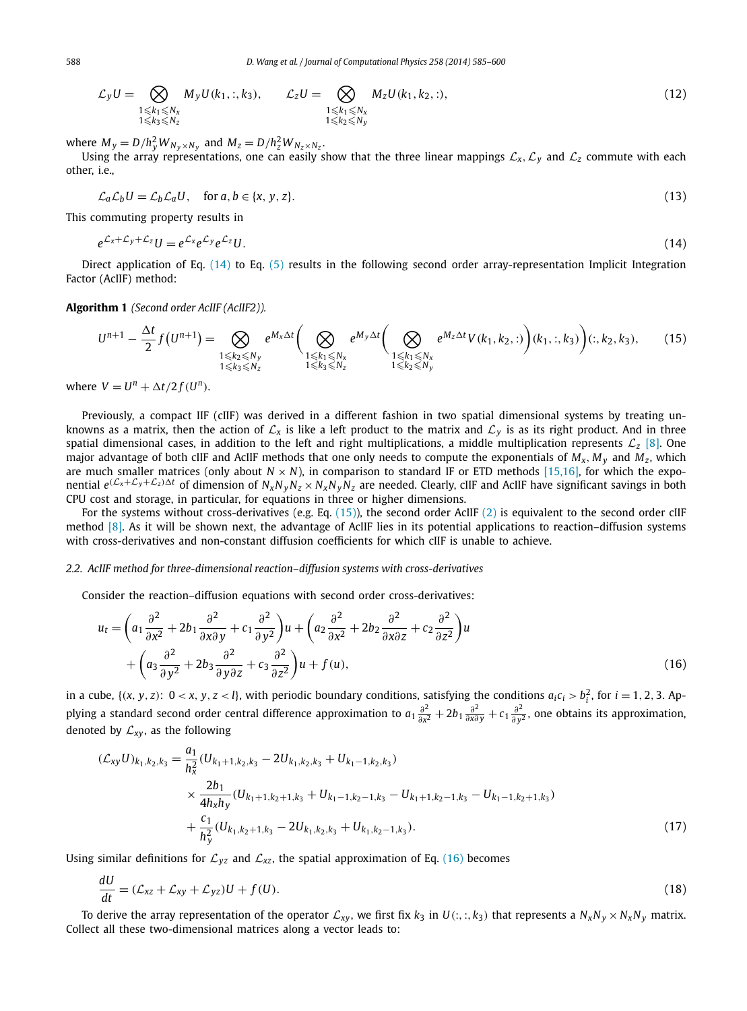$$
\mathcal{L}_y U = \bigotimes_{\substack{1 \le k_1 \le N_x \\ 1 \le k_3 \le N_z}} M_y U(k_1, :, k_3), \qquad \mathcal{L}_z U = \bigotimes_{\substack{1 \le k_1 \le N_x \\ 1 \le k_2 \le N_y}} M_z U(k_1, k_2, :), \tag{12}
$$

where  $M_y = D/h_y^2 W_{N_y \times N_y}$  and  $M_z = D/h_z^2 W_{N_z \times N_z}$ .

Using the array representations, one can easily show that the three linear mappings  $\mathcal{L}_x$ ,  $\mathcal{L}_y$  and  $\mathcal{L}_z$  commute with each other, i.e.,

$$
\mathcal{L}_a \mathcal{L}_b U = \mathcal{L}_b \mathcal{L}_a U, \quad \text{for } a, b \in \{x, y, z\}. \tag{13}
$$

This commuting property results in

$$
e^{\mathcal{L}_x+\mathcal{L}_y+\mathcal{L}_z}U=e^{\mathcal{L}_x}e^{\mathcal{L}_y}e^{\mathcal{L}_z}U.
$$
\n(14)

Direct application of Eq. (14) to Eq. [\(5\)](#page-2-0) results in the following second order array-representation Implicit Integration Factor (AcIIF) method:

# **Algorithm 1** *(Second order AcIIF (AcIIF2)).*

$$
U^{n+1} - \frac{\Delta t}{2} f(U^{n+1}) = \bigotimes_{\substack{1 \leq k_2 \leq N_y \\ 1 \leq k_3 \leq N_z}} e^{M_x \Delta t} \bigg( \bigotimes_{\substack{1 \leq k_1 \leq N_x \\ 1 \leq k_3 \leq N_z}} e^{M_y \Delta t} \bigg( \bigotimes_{\substack{1 \leq k_1 \leq N_x \\ 1 \leq k_2 \leq N_y}} e^{M_z \Delta t} V(k_1, k_2, :) \bigg) (k_1, :, k_3) \bigg)(:, k_2, k_3), \qquad (15)
$$

where  $V = U^n + \Delta t / 2 f(U^n)$ .

Previously, a compact IIF (cIIF) was derived in a different fashion in two spatial dimensional systems by treating unknowns as a matrix, then the action of  $\mathcal{L}_x$  is like a left product to the matrix and  $\mathcal{L}_y$  is as its right product. And in three spatial dimensional cases, in addition to the left and right multiplications, a middle multiplication represents  $\mathcal{L}_z$  [\[8\].](#page-15-0) One major advantage of both cIIF and AcIIF methods that one only needs to compute the exponentials of  $M_x$ ,  $M_y$  and  $M_z$ , which are much smaller matrices (only about  $N \times N$ ), in comparison to standard IF or ETD methods [\[15,16\],](#page-15-0) for which the exponential  $e^{(\mathcal{L}_x+\mathcal{L}_y+\mathcal{L}_z)\Delta t}$  of dimension of  $N_xN_vN_z \times N_xN_vN_z$  are needed. Clearly, cIIF and AcIIF have significant savings in both CPU cost and storage, in particular, for equations in three or higher dimensions.

For the systems without cross-derivatives (e.g. Eq. (15)), the second order AcIIF [\(2\)](#page-1-0) is equivalent to the second order cIIF method  $[8]$ . As it will be shown next, the advantage of AcIIF lies in its potential applications to reaction–diffusion systems with cross-derivatives and non-constant diffusion coefficients for which cIIF is unable to achieve.

# *2.2. AcIIF method for three-dimensional reaction–diffusion systems with cross-derivatives*

Consider the reaction–diffusion equations with second order cross-derivatives:

$$
u_{t} = \left(a_{1} \frac{\partial^{2}}{\partial x^{2}} + 2b_{1} \frac{\partial^{2}}{\partial x \partial y} + c_{1} \frac{\partial^{2}}{\partial y^{2}}\right)u + \left(a_{2} \frac{\partial^{2}}{\partial x^{2}} + 2b_{2} \frac{\partial^{2}}{\partial x \partial z} + c_{2} \frac{\partial^{2}}{\partial z^{2}}\right)u + \left(a_{3} \frac{\partial^{2}}{\partial y^{2}} + 2b_{3} \frac{\partial^{2}}{\partial y \partial z} + c_{3} \frac{\partial^{2}}{\partial z^{2}}\right)u + f(u),
$$
\n(16)

in a cube,  $\{(x, y, z): 0 < x, y, z < l\}$ , with periodic boundary conditions, satisfying the conditions  $a_i c_i > b_i^2$ , for  $i = 1, 2, 3$ . Applying a standard second order central difference approximation to  $a_1\frac{\partial^2}{\partial x^2}+2b_1\frac{\partial^2}{\partial x\partial y}+c_1\frac{\partial^2}{\partial y^2}$ , one obtains its approximation, denoted by  $\mathcal{L}_{xy}$ , as the following

$$
(\mathcal{L}_{xy}U)_{k_1,k_2,k_3} = \frac{a_1}{h_x^2} (U_{k_1+1,k_2,k_3} - 2U_{k_1,k_2,k_3} + U_{k_1-1,k_2,k_3})
$$
  

$$
\times \frac{2b_1}{4h_xh_y} (U_{k_1+1,k_2+1,k_3} + U_{k_1-1,k_2-1,k_3} - U_{k_1+1,k_2-1,k_3} - U_{k_1-1,k_2+1,k_3})
$$
  

$$
+ \frac{c_1}{h_y^2} (U_{k_1,k_2+1,k_3} - 2U_{k_1,k_2,k_3} + U_{k_1,k_2-1,k_3}).
$$
 (17)

Using similar definitions for  $\mathcal{L}_{yz}$  and  $\mathcal{L}_{xz}$ , the spatial approximation of Eq. (16) becomes

$$
\frac{dU}{dt} = (\mathcal{L}_{xz} + \mathcal{L}_{xy} + \mathcal{L}_{yz})U + f(U). \tag{18}
$$

To derive the array representation of the operator  $\mathcal{L}_{xy}$ , we first fix  $k_3$  in  $U(:, :, k_3)$  that represents a  $N_xN_y \times N_xN_y$  matrix. Collect all these two-dimensional matrices along a vector leads to:

<span id="page-3-0"></span>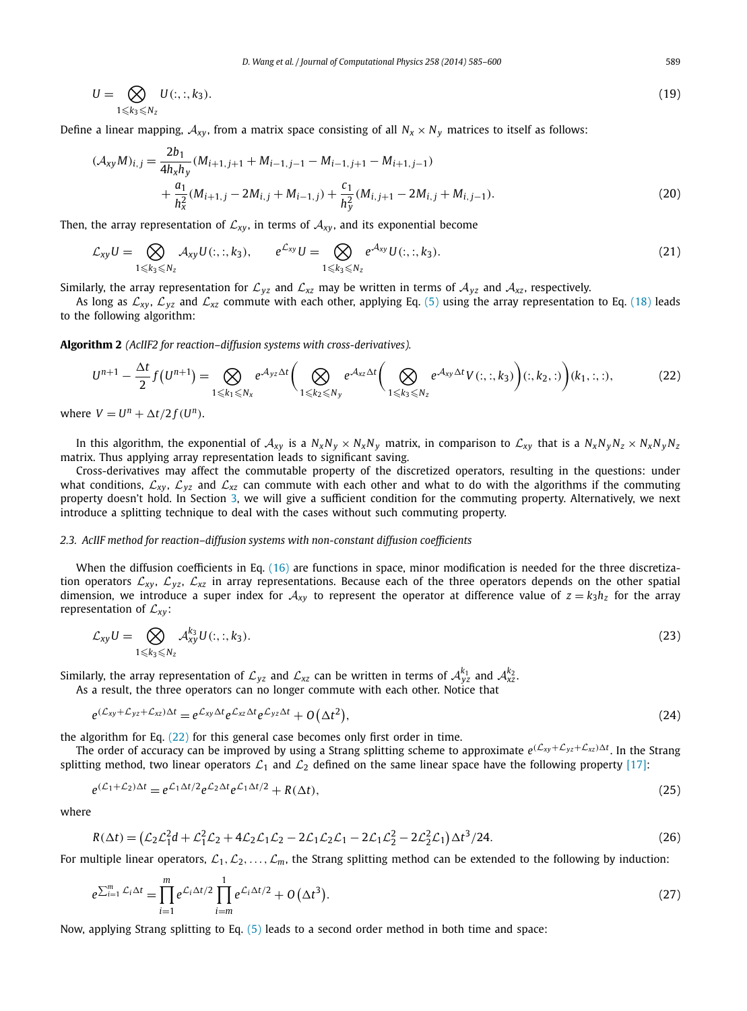<span id="page-4-0"></span>
$$
U = \bigotimes_{1 \le k_3 \le N_Z} U(:, :, k_3). \tag{19}
$$

Define a linear mapping,  $A_{XY}$ , from a matrix space consisting of all  $N_X \times N_Y$  matrices to itself as follows:

$$
(\mathcal{A}_{xy}M)_{i,j} = \frac{2b_1}{4h_xh_y}(M_{i+1,j+1} + M_{i-1,j-1} - M_{i-1,j+1} - M_{i+1,j-1}) + \frac{a_1}{h_x^2}(M_{i+1,j} - 2M_{i,j} + M_{i-1,j}) + \frac{c_1}{h_y^2}(M_{i,j+1} - 2M_{i,j} + M_{i,j-1}).
$$
\n(20)

Then, the array representation of  $\mathcal{L}_{xy}$ , in terms of  $\mathcal{A}_{xy}$ , and its exponential become

$$
\mathcal{L}_{xy}U = \bigotimes_{1 \leq k_3 \leq N_z} \mathcal{A}_{xy}U(:, :, k_3), \qquad e^{\mathcal{L}_{xy}}U = \bigotimes_{1 \leq k_3 \leq N_z} e^{\mathcal{A}_{xy}}U(:, :, k_3).
$$
\n(21)

Similarly, the array representation for  $\mathcal{L}_{VZ}$  and  $\mathcal{L}_{XZ}$  may be written in terms of  $\mathcal{A}_{VZ}$  and  $\mathcal{A}_{XZ}$ , respectively.

As long as  $\mathcal{L}_{xy}$ ,  $\mathcal{L}_{yz}$  and  $\mathcal{L}_{xz}$  commute with each other, applying Eq. [\(5\)](#page-2-0) using the array representation to Eq. [\(18\)](#page-3-0) leads to the following algorithm:

**Algorithm 2** *(AcIIF2 for reaction–diffusion systems with cross-derivatives).*

$$
U^{n+1} - \frac{\Delta t}{2} f(U^{n+1}) = \bigotimes_{1 \leq k_1 \leq N_x} e^{\mathcal{A}_{yz}\Delta t} \bigg(\bigotimes_{1 \leq k_2 \leq N_y} e^{\mathcal{A}_{xz}\Delta t} \bigg(\bigotimes_{1 \leq k_3 \leq N_z} e^{\mathcal{A}_{xy}\Delta t} V(:, :, k_3)\bigg)(:, k_2, :)\bigg)(k_1, :, :),
$$
(22)

where  $V = U^n + \Delta t / 2 f(U^n)$ .

In this algorithm, the exponential of  $A_{xy}$  is a  $N_xN_y \times N_xN_y$  matrix, in comparison to  $\mathcal{L}_{xy}$  that is a  $N_xN_yN_z \times N_xN_yN_z$ matrix. Thus applying array representation leads to significant saving.

Cross-derivatives may affect the commutable property of the discretized operators, resulting in the questions: under what conditions,  $\mathcal{L}_{xy}$ ,  $\mathcal{L}_{yz}$  and  $\mathcal{L}_{xz}$  can commute with each other and what to do with the algorithms if the commuting property doesn't hold. In Section [3,](#page-6-0) we will give a sufficient condition for the commuting property. Alternatively, we next introduce a splitting technique to deal with the cases without such commuting property.

#### *2.3. AcIIF method for reaction–diffusion systems with non-constant diffusion coefficients*

When the diffusion coefficients in Eq. [\(16\)](#page-3-0) are functions in space, minor modification is needed for the three discretization operators  $\mathcal{L}_{xy}$ ,  $\mathcal{L}_{yz}$ ,  $\mathcal{L}_{xz}$  in array representations. Because each of the three operators depends on the other spatial dimension, we introduce a super index for  $A_{xy}$  to represent the operator at difference value of  $z = k_3 h_z$  for the array representation of  $\mathcal{L}_{xy}$ :

$$
\mathcal{L}_{xy}U = \bigotimes_{1 \leqslant k_3 \leqslant N_z} \mathcal{A}_{xy}^{k_3}U(:, :, k_3). \tag{23}
$$

Similarly, the array representation of  $\mathcal{L}_{yz}$  and  $\mathcal{L}_{xz}$  can be written in terms of  $\mathcal{A}_{yz}^{k_1}$  and  $\mathcal{A}_{xz}^{k_2}$ .

As a result, the three operators can no longer commute with each other. Notice that

$$
e^{(\mathcal{L}_{xy} + \mathcal{L}_{yz} + \mathcal{L}_{xz})\Delta t} = e^{\mathcal{L}_{xy}\Delta t}e^{\mathcal{L}_{xz}\Delta t}e^{\mathcal{L}_{yz}\Delta t} + O(\Delta t^2),
$$
\n(24)

the algorithm for Eq. (22) for this general case becomes only first order in time.

The order of accuracy can be improved by using a Strang splitting scheme to approximate  $e^{(\mathcal{L}_{xy}+\mathcal{L}_{yz}+\mathcal{L}_{xz})\Delta t}$ . In the Strang splitting method, two linear operators  $\mathcal{L}_1$  and  $\mathcal{L}_2$  defined on the same linear space have the following property [\[17\]:](#page-15-0)

$$
e^{(\mathcal{L}_1 + \mathcal{L}_2)\Delta t} = e^{\mathcal{L}_1 \Delta t/2} e^{\mathcal{L}_2 \Delta t} e^{\mathcal{L}_1 \Delta t/2} + R(\Delta t),
$$
\n(25)

where

$$
R(\Delta t) = (c_2 c_1^2 d + c_1^2 c_2 + 4c_2 c_1 c_2 - 2c_1 c_2 c_1 - 2c_1 c_2^2 - 2c_2^2 c_1) \Delta t^3 / 24.
$$
\n(26)

For multiple linear operators,  $\mathcal{L}_1, \mathcal{L}_2, \ldots, \mathcal{L}_m$ , the Strang splitting method can be extended to the following by induction:

$$
e^{\sum_{i=1}^{m} \mathcal{L}_i \Delta t} = \prod_{i=1}^{m} e^{\mathcal{L}_i \Delta t/2} \prod_{i=m}^{1} e^{\mathcal{L}_i \Delta t/2} + O(\Delta t^3). \tag{27}
$$

Now, applying Strang splitting to Eq. [\(5\)](#page-2-0) leads to a second order method in both time and space: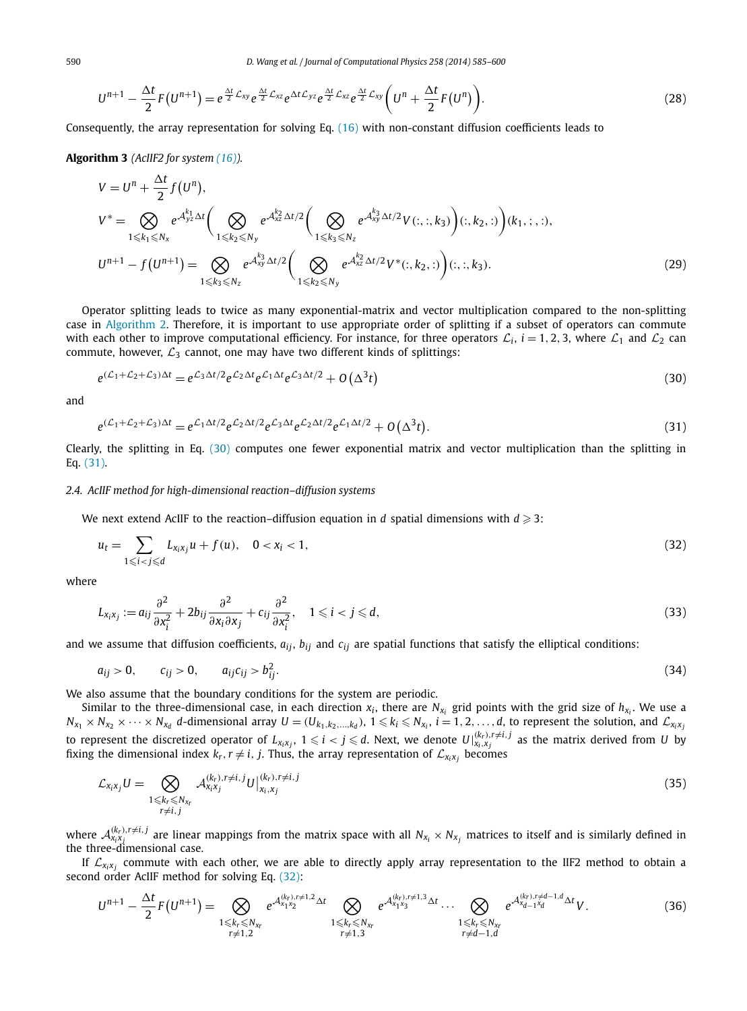<span id="page-5-0"></span>
$$
U^{n+1} - \frac{\Delta t}{2} F(U^{n+1}) = e^{\frac{\Delta t}{2} \mathcal{L}_{xy}} e^{\frac{\Delta t}{2} \mathcal{L}_{xz}} e^{\Delta t \mathcal{L}_{yz}} e^{\frac{\Delta t}{2} \mathcal{L}_{xz}} e^{\frac{\Delta t}{2} \mathcal{L}_{xy}} \bigg(U^n + \frac{\Delta t}{2} F(U^n)\bigg).
$$
\n(28)

Consequently, the array representation for solving Eq. [\(16\)](#page-3-0) with non-constant diffusion coefficients leads to

**Algorithm 3** *(AcIIF2 for system [\(16\)\)](#page-3-0).*

$$
V = U^{n} + \frac{\Delta t}{2} f(U^{n}),
$$
  
\n
$$
V^{*} = \bigotimes_{1 \leq k_{1} \leq N_{x}} e^{\mathcal{A}_{y2}^{k_{1}} \Delta t} \Biggl( \bigotimes_{1 \leq k_{2} \leq N_{y}} e^{\mathcal{A}_{x2}^{k_{2}} \Delta t/2} \Biggl( \bigotimes_{1 \leq k_{3} \leq N_{z}} e^{\mathcal{A}_{xy}^{k_{3}} \Delta t/2} V(:, :, k_{3}) \Biggr) (:, k_{2}, :) \Biggr) (k_{1}, :, :),
$$
  
\n
$$
U^{n+1} - f(U^{n+1}) = \bigotimes_{1 \leq k_{3} \leq N_{z}} e^{\mathcal{A}_{xy}^{k_{3}} \Delta t/2} \Biggl( \bigotimes_{1 \leq k_{2} \leq N_{y}} e^{\mathcal{A}_{xz}^{k_{2}} \Delta t/2} V^{*}(:, k_{2}, :) \Biggr) (:, :, k_{3}).
$$
\n(29)

Operator splitting leads to twice as many exponential-matrix and vector multiplication compared to the non-splitting case in [Algorithm 2.](#page-4-0) Therefore, it is important to use appropriate order of splitting if a subset of operators can commute with each other to improve computational efficiency. For instance, for three operators  $\mathcal{L}_i$ ,  $i = 1, 2, 3$ , where  $\mathcal{L}_1$  and  $\mathcal{L}_2$  can commute, however,  $\mathcal{L}_3$  cannot, one may have two different kinds of splittings:

$$
e^{(\mathcal{L}_1 + \mathcal{L}_2 + \mathcal{L}_3)\Delta t} = e^{\mathcal{L}_3 \Delta t/2} e^{\mathcal{L}_2 \Delta t} e^{\mathcal{L}_1 \Delta t} e^{\mathcal{L}_3 \Delta t/2} + O(\Delta^3 t)
$$
\n(30)

and

$$
e^{(\mathcal{L}_1+\mathcal{L}_2+\mathcal{L}_3)\Delta t} = e^{\mathcal{L}_1\Delta t/2}e^{\mathcal{L}_2\Delta t/2}e^{\mathcal{L}_3\Delta t}e^{\mathcal{L}_2\Delta t/2}e^{\mathcal{L}_1\Delta t/2} + O(\Delta^3 t).
$$
\n(31)

Clearly, the splitting in Eq. (30) computes one fewer exponential matrix and vector multiplication than the splitting in Eq. (31).

# *2.4. AcIIF method for high-dimensional reaction–diffusion systems*

We next extend AcIIF to the reaction–diffusion equation in *d* spatial dimensions with  $d \geqslant 3$ :

$$
u_t = \sum_{1 \le i < j \le d} L_{x_i x_j} u + f(u), \quad 0 < x_i < 1,\tag{32}
$$

where

$$
L_{x_ix_j} := a_{ij} \frac{\partial^2}{\partial x_i^2} + 2b_{ij} \frac{\partial^2}{\partial x_i \partial x_j} + c_{ij} \frac{\partial^2}{\partial x_i^2}, \quad 1 \le i < j \le d,
$$
\n<sup>(33)</sup>

and we assume that diffusion coefficients,  $a_{ij}$ ,  $b_{ij}$  and  $c_{ij}$  are spatial functions that satisfy the elliptical conditions:

$$
a_{ij} > 0, \qquad c_{ij} > 0, \qquad a_{ij}c_{ij} > b_{ij}^2. \tag{34}
$$

We also assume that the boundary conditions for the system are periodic.

Similar to the three-dimensional case, in each direction  $x_i$ , there are  $N_{x_i}$  grid points with the grid size of  $h_{x_i}$ . We use a  $N_{x_1}\times N_{x_2}\times \cdots \times N_{x_d}$  d-dimensional array  $U=(U_{k_1,k_2,...,k_d})$ ,  $1\leqslant k_i\leqslant N_{x_i},$   $i=1,2,\ldots,d,$  to represent the solution, and  $\mathcal{L}_{x_ix_j}$ to represent the discretized operator of  $L_{x_ix_j},\ 1\leqslant i< j\leqslant d.$  Next, we denote  $U|_{x_i,x_j}^{(k_r),r\neq i,j}$  as the matrix derived from  $U$  by fixing the dimensional index  $k_r$ ,  $r \neq i$ , *j*. Thus, the array representation of  $\mathcal{L}_{x_i x_j}$  becomes

$$
\mathcal{L}_{X_i X_j} U = \bigotimes_{\substack{1 \leq k_r \leq N_{X_r} \\ r \neq i, j}} \mathcal{A}_{X_i X_j}^{(k_r), r \neq i, j} U \big|_{X_i, X_j}^{(k_r), r \neq i, j} \tag{35}
$$

where  $\mathcal{A}_{x_i x_j}^{(k_r), r \neq i, j}$  are linear mappings from the matrix space with all  $N_{x_i} \times N_{x_j}$  matrices to itself and is similarly defined in the three-dimensional case.

If  $\mathcal{L}_{x_i x_j}$  commute with each other, we are able to directly apply array representation to the IIF2 method to obtain a second order AcIIF method for solving Eq. (32):

$$
U^{n+1} - \frac{\Delta t}{2} F(U^{n+1}) = \bigotimes_{\substack{1 \leq k_r \leq N_{x_r} \\ r \neq 1,2}} e^{\mathcal{A}_{x_1 x_2}^{(k_r), r \neq 1,2} \Delta t} \bigotimes_{\substack{1 \leq k_r \leq N_{x_r} \\ r \neq 1,3}} e^{\mathcal{A}_{x_1 x_3}^{(k_r), r \neq 1,3} \Delta t} \cdots \bigotimes_{\substack{1 \leq k_r \leq N_{x_r} \\ r \neq d-1, d}} e^{\mathcal{A}_{x_{d-1} x_d}^{(k_r), r \neq d-1, d} \Delta t} V.
$$
 (36)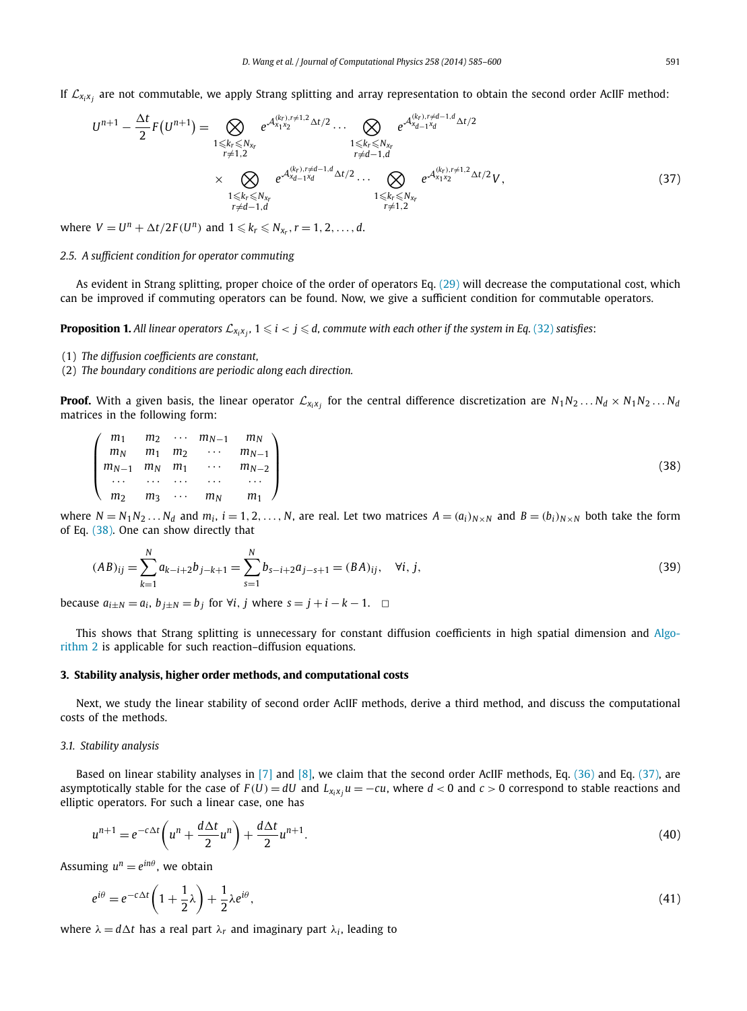<span id="page-6-0"></span>If  $\mathcal{L}_{x_ix_j}$  are not commutable, we apply Strang splitting and array representation to obtain the second order AcIIF method:

$$
U^{n+1} - \frac{\Delta t}{2} F(U^{n+1}) = \bigotimes_{\substack{1 \le k_r \le N_{x_r} \\ r \neq 1, 2}} e^{\mathcal{A}_{x_1 x_2}^{(k_r), r \neq 1, 2} \Delta t/2} \cdots \bigotimes_{\substack{1 \le k_r \le N_{x_r} \\ r \neq d-1, d}} e^{\mathcal{A}_{x_{d-1} x_d}^{(k_r), r \neq d-1, d} \Delta t/2} \cdots \bigotimes_{\substack{1 \le k_r \le N_{x_r} \\ r \neq d-1, d}} e^{\mathcal{A}_{x_{d-1} x_d}^{(k_r), r \neq 1, 2} \Delta t/2} \cdots \bigotimes_{\substack{1 \le k_r \le N_{x_r} \\ r \neq 1, 2}} e^{\mathcal{A}_{x_1 x_2}^{(k_r), r \neq 1, 2} \Delta t/2} V,
$$
\n(37)

where  $V = U^n + \Delta t / 2F(U^n)$  and  $1 \leq k_r \leq N_{x_r}, r = 1, 2, ..., d$ .

*2.5. A sufficient condition for operator commuting*

As evident in Strang splitting, proper choice of the order of operators Eq. [\(29\)](#page-5-0) will decrease the computational cost, which can be improved if commuting operators can be found. Now, we give a sufficient condition for commutable operators.

**Proposition 1.** All linear operators  $\mathcal{L}_{x_ix_j},$   $1\leqslant i < j \leqslant d$ , commute with each other if the system in Eq. [\(32\)](#page-5-0) satisfies:

(1) *The diffusion coefficients are constant,*

(2) *The boundary conditions are periodic along each direction.*

**Proof.** With a given basis, the linear operator  $\mathcal{L}_{x_ix_j}$  for the central difference discretization are  $N_1N_2 \ldots N_d \times N_1N_2 \ldots N_d$ matrices in the following form:

$$
\begin{pmatrix}\nm_1 & m_2 & \cdots & m_{N-1} & m_N \\
m_N & m_1 & m_2 & \cdots & m_{N-1} \\
m_{N-1} & m_N & m_1 & \cdots & m_{N-2} \\
\vdots & \vdots & \ddots & \vdots & \vdots \\
m_2 & m_3 & \cdots & m_N & m_1\n\end{pmatrix}
$$
\n(38)

where  $N = N_1N_2...N_d$  and  $m_i$ ,  $i = 1, 2,..., N$ , are real. Let two matrices  $A = (a_i)_{N \times N}$  and  $B = (b_i)_{N \times N}$  both take the form of Eq. (38). One can show directly that

$$
(AB)_{ij} = \sum_{k=1}^{N} a_{k-i+2} b_{j-k+1} = \sum_{s=1}^{N} b_{s-i+2} a_{j-s+1} = (BA)_{ij}, \quad \forall i, j,
$$
\n(39)

**because**  $a_{i\pm N} = a_i$ ,  $b_{j\pm N} = b_j$  for ∀*i*, *j* where  $s = j + i - k - 1$ . □

This shows that Strang splitting is unnecessary for constant diffusion coefficients in high spatial dimension and [Algo](#page-4-0)[rithm 2](#page-4-0) is applicable for such reaction–diffusion equations.

# **3. Stability analysis, higher order methods, and computational costs**

Next, we study the linear stability of second order AcIIF methods, derive a third method, and discuss the computational costs of the methods.

# *3.1. Stability analysis*

Based on linear stability analyses in  $[7]$  and  $[8]$ , we claim that the second order AcIIF methods, Eq. [\(36\)](#page-5-0) and Eq. (37), are asymptotically stable for the case of  $F(U) = dU$  and  $L_{x_i x_i} u = -cu$ , where  $d < 0$  and  $c > 0$  correspond to stable reactions and elliptic operators. For such a linear case, one has

$$
u^{n+1} = e^{-c\Delta t} \left( u^n + \frac{d\Delta t}{2} u^n \right) + \frac{d\Delta t}{2} u^{n+1}.
$$
\n<sup>(40)</sup>

Assuming  $u^n = e^{in\theta}$ , we obtain

$$
e^{i\theta} = e^{-c\Delta t} \left( 1 + \frac{1}{2}\lambda \right) + \frac{1}{2}\lambda e^{i\theta},\tag{41}
$$

where  $\lambda = d\Delta t$  has a real part  $\lambda_r$  and imaginary part  $\lambda_i$ , leading to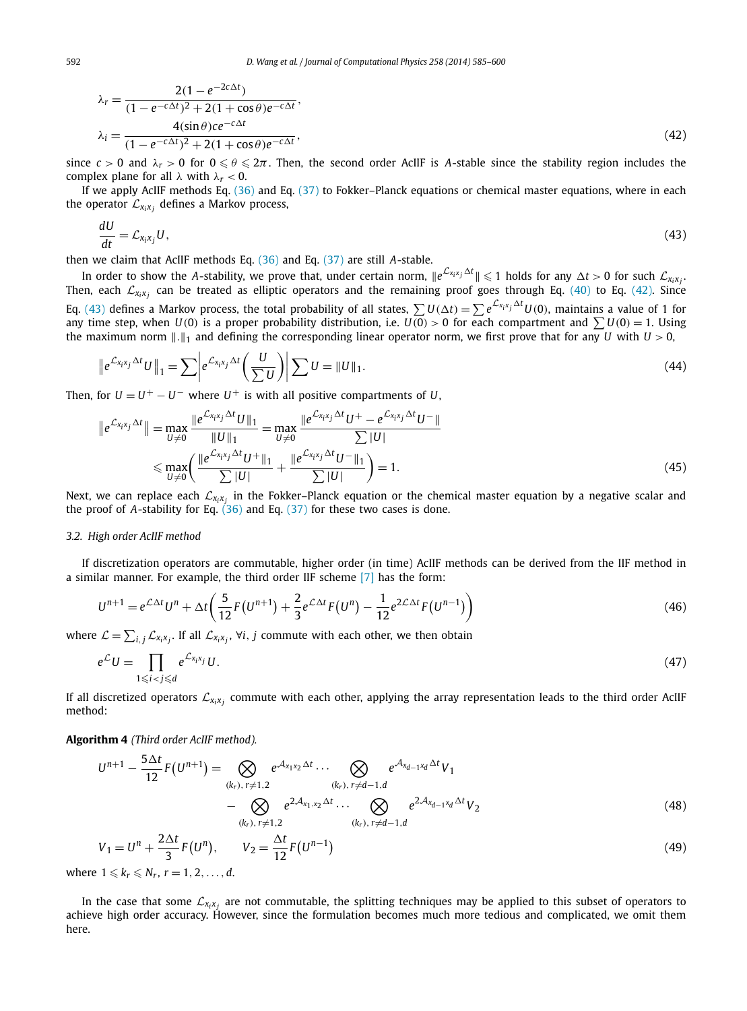$$
\lambda_r = \frac{2(1 - e^{-2c\Delta t})}{(1 - e^{-c\Delta t})^2 + 2(1 + \cos \theta)e^{-c\Delta t}}, \n\lambda_i = \frac{4(\sin \theta)ce^{-c\Delta t}}{(1 - e^{-c\Delta t})^2 + 2(1 + \cos \theta)e^{-c\Delta t}},
$$
\n(42)

since  $c > 0$  and  $\lambda_r > 0$  for  $0 \le \theta \le 2\pi$ . Then, the second order AcIIF is *A*-stable since the stability region includes the complex plane for all  $λ$  with  $λ<sub>r</sub> < 0$ .

If we apply AcIIF methods Eq. [\(36\)](#page-5-0) and Eq. [\(37\)](#page-6-0) to Fokker–Planck equations or chemical master equations, where in each the operator  $\mathcal{L}_{x_i x_j}$  defines a Markov process,

$$
\frac{dU}{dt} = \mathcal{L}_{x_i x_j} U,\tag{43}
$$

then we claim that AcIIF methods Eq. [\(36\)](#page-5-0) and Eq. [\(37\)](#page-6-0) are still *A*-stable.

In order to show the *A*-stability, we prove that, under certain norm,  $\|e^{\mathcal{L}_{x_ix_j}\Delta t}\| \leq 1$  holds for any  $\Delta t > 0$  for such  $\mathcal{L}_{x_ix_j}$ . Then, each  $\mathcal{L}_{x_i x_j}$  can be treated as elliptic operators and the remaining proof goes through Eq. [\(40\)](#page-6-0) to Eq. (42). Since Eq. (43) defines a Markov process, the total probability of all states,  $\sum U(\Delta t)=\sum e^{\mathcal{L}_{x_ix_j}\Delta t}U(0)$ , maintains a value of 1 for any time step, when  $U(0)$  is a proper probability distribution, i.e.  $U(0) > 0$  for each compartment and  $\sum U(0) = 1$ . Using the maximum norm  $\|.\|_1$  and defining the corresponding linear operator norm, we first prove that for any *U* with  $U > 0$ ,

$$
\left\|e^{\mathcal{L}_{x_ix_j}\Delta t}U\right\|_1 = \sum \left|e^{\mathcal{L}_{x_ix_j}\Delta t}\left(\frac{U}{\sum U}\right)\right|\sum U = \|U\|_1. \tag{44}
$$

Then, for  $U = U^+ - U^-$  where  $U^+$  is with all positive compartments of U,

$$
\|e^{\mathcal{L}_{x_ix_j}\Delta t}\| = \max_{U \neq 0} \frac{\|e^{\mathcal{L}_{x_ix_j}\Delta t}U\|_1}{\|U\|_1} = \max_{U \neq 0} \frac{\|e^{\mathcal{L}_{x_ix_j}\Delta t}U^+ - e^{\mathcal{L}_{x_ix_j}\Delta t}U^-\|}{\sum |U|}
$$
  
\$\leq \max\_{U \neq 0} \left(\frac{\|e^{\mathcal{L}\_{x\_ix\_j}\Delta t}U^+\|\_1}{\sum |U|} + \frac{\|e^{\mathcal{L}\_{x\_ix\_j}\Delta t}U^-\|\_1}{\sum |U|}\right) = 1. \tag{45}

Next, we can replace each  $\mathcal{L}_{x_ix_j}$  in the Fokker–Planck equation or the chemical master equation by a negative scalar and the proof of *A*-stability for Eq. [\(36\)](#page-5-0) and Eq. [\(37\)](#page-6-0) for these two cases is done.

# *3.2. High order AcIIF method*

If discretization operators are commutable, higher order (in time) AcIIF methods can be derived from the IIF method in a similar manner. For example, the third order IIF scheme [\[7\]](#page-15-0) has the form:

$$
U^{n+1} = e^{\mathcal{L}\Delta t}U^n + \Delta t \left(\frac{5}{12}F(U^{n+1}) + \frac{2}{3}e^{\mathcal{L}\Delta t}F(U^n) - \frac{1}{12}e^{2\mathcal{L}\Delta t}F(U^{n-1})\right)
$$
(46)

where  $\mathcal{L} = \sum_{i,j} \mathcal{L}_{x_i x_j}$ . If all  $\mathcal{L}_{x_i x_j}$ ,  $\forall i, j$  commute with each other, we then obtain

$$
e^{\mathcal{L}}U = \prod_{1 \leq i < j \leq d} e^{\mathcal{L}_{x_i x_j}} U. \tag{47}
$$

If all discretized operators  $\mathcal{L}_{x_i x_j}$  commute with each other, applying the array representation leads to the third order AcIIF method:

# **Algorithm 4** *(Third order AcIIF method).*

$$
U^{n+1} - \frac{5\Delta t}{12} F(U^{n+1}) = \bigotimes_{(k_r), r \neq 1, 2} e^{\mathcal{A}_{x_1 x_2} \Delta t} \cdots \bigotimes_{(k_r), r \neq d-1, d} e^{\mathcal{A}_{x_{d-1} x_d} \Delta t} V_1
$$
  
- 
$$
\bigotimes_{(k_r), r \neq 1, 2} e^{2\mathcal{A}_{x_1 x_2} \Delta t} \cdots \bigotimes_{(k_r), r \neq d-1, d} e^{2\mathcal{A}_{x_{d-1} x_d} \Delta t} V_2
$$
(48)

$$
V_1 = U^n + \frac{2\Delta t}{3} F(U^n), \qquad V_2 = \frac{\Delta t}{12} F(U^{n-1})
$$
\n(49)

where  $1 \leq k_r \leq N_r$ ,  $r = 1, 2, ..., d$ .

In the case that some  $\mathcal{L}_{x_ix_j}$  are not commutable, the splitting techniques may be applied to this subset of operators to achieve high order accuracy. However, since the formulation becomes much more tedious and complicated, we omit them here.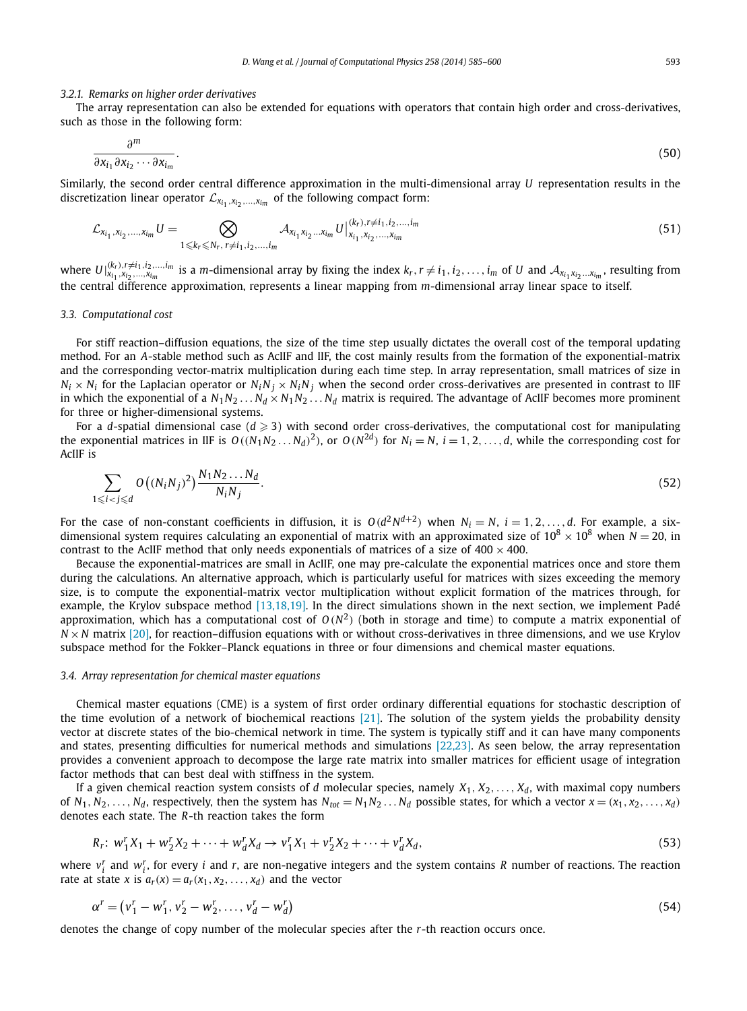### <span id="page-8-0"></span>*3.2.1. Remarks on higher order derivatives*

The array representation can also be extended for equations with operators that contain high order and cross-derivatives, such as those in the following form:

$$
\frac{\partial^m}{\partial x_{i_1} \partial x_{i_2} \cdots \partial x_{i_m}}.
$$
\n<sup>(50)</sup>

Similarly, the second order central difference approximation in the multi-dimensional array *U* representation results in the discretization linear operator  $\mathcal{L}_{\mathsf{x}_{i_1},\mathsf{x}_{i_2},\dots,\mathsf{x}_{i_m}}$  of the following compact form:

$$
\mathcal{L}_{x_{i_1}, x_{i_2}, \dots, x_{i_m}} U = \bigotimes_{1 \leq k_r \leq N_r, \ r \neq i_1, i_2, \dots, i_m} \mathcal{A}_{x_{i_1} x_{i_2} \dots x_{i_m}} U \big|_{x_{i_1}, x_{i_2}, \dots, x_{i_m}}^{(k_r), r \neq i_1, i_2, \dots, i_m} \tag{51}
$$

where  $U|_{x_{i_1},x_{i_2},...,x_{i_m}}^{(k_r),r\neq i_1,i_2,...,i_m}$  is a m-dimensional array by fixing the index  $k_r, r\neq i_1,i_2,...,i_m$  of U and  $\mathcal{A}_{x_{i_1}x_{i_2}...x_{i_m}}$ , resulting from the central difference approximation, represents a linear mapping from *m*-dimensional array linear space to itself.

# *3.3. Computational cost*

For stiff reaction–diffusion equations, the size of the time step usually dictates the overall cost of the temporal updating method. For an *A*-stable method such as AcIIF and IIF, the cost mainly results from the formation of the exponential-matrix and the corresponding vector-matrix multiplication during each time step. In array representation, small matrices of size in  $N_i \times N_i$  for the Laplacian operator or  $N_i N_i \times N_i N_i$  when the second order cross-derivatives are presented in contrast to IIF in which the exponential of a  $N_1N_2...N_d \times N_1N_2...N_d$  matrix is required. The advantage of AcIIF becomes more prominent for three or higher-dimensional systems.

For a *d*-spatial dimensional case  $(d \geq 3)$  with second order cross-derivatives, the computational cost for manipulating the exponential matrices in IIF is  $O((N_1N_2...N_d)^2)$ , or  $O(N^{2d})$  for  $N_i = N$ ,  $i = 1, 2, ..., d$ , while the corresponding cost for AcIIF is

$$
\sum_{1 \le i < j \le d} O\left( (N_i N_j)^2 \right) \frac{N_1 N_2 \dots N_d}{N_i N_j} . \tag{52}
$$

For the case of non-constant coefficients in diffusion, it is  $O(d^2N^{d+2})$  when  $N_i = N$ ,  $i = 1, 2, \ldots, d$ . For example, a sixdimensional system requires calculating an exponential of matrix with an approximated size of  $10^8 \times 10^8$  when  $N = 20$ , in contrast to the AcIIF method that only needs exponentials of matrices of a size of  $400 \times 400$ .

Because the exponential-matrices are small in AcIIF, one may pre-calculate the exponential matrices once and store them during the calculations. An alternative approach, which is particularly useful for matrices with sizes exceeding the memory size, is to compute the exponential-matrix vector multiplication without explicit formation of the matrices through, for example, the Krylov subspace method [\[13,18,19\].](#page-15-0) In the direct simulations shown in the next section, we implement Padé approximation, which has a computational cost of  $O(N^2)$  (both in storage and time) to compute a matrix exponential of  $N \times N$  matrix [\[20\],](#page-15-0) for reaction–diffusion equations with or without cross-derivatives in three dimensions, and we use Krylov subspace method for the Fokker–Planck equations in three or four dimensions and chemical master equations.

#### *3.4. Array representation for chemical master equations*

Chemical master equations (CME) is a system of first order ordinary differential equations for stochastic description of the time evolution of a network of biochemical reactions  $[21]$ . The solution of the system yields the probability density vector at discrete states of the bio-chemical network in time. The system is typically stiff and it can have many components and states, presenting difficulties for numerical methods and simulations [\[22,23\].](#page-15-0) As seen below, the array representation provides a convenient approach to decompose the large rate matrix into smaller matrices for efficient usage of integration factor methods that can best deal with stiffness in the system.

If a given chemical reaction system consists of *d* molecular species, namely  $X_1, X_2, \ldots, X_d$ , with maximal copy numbers of  $N_1, N_2, \ldots, N_d$ , respectively, then the system has  $N_{tot} = N_1 N_2 \ldots N_d$  possible states, for which a vector  $x = (x_1, x_2, \ldots, x_d)$ denotes each state. The *R*-th reaction takes the form

$$
R_r: w_1^r X_1 + w_2^r X_2 + \dots + w_d^r X_d \to v_1^r X_1 + v_2^r X_2 + \dots + v_d^r X_d,
$$
\n<sup>(53)</sup>

where  $v_i^r$  and  $w_i^r$ , for every *i* and *r*, are non-negative integers and the system contains *R* number of reactions. The reaction rate at state *x* is  $a_r(x) = a_r(x_1, x_2, \ldots, x_d)$  and the vector

$$
\alpha^r = (v_1^r - w_1^r, v_2^r - w_2^r, \dots, v_d^r - w_d^r) \tag{54}
$$

denotes the change of copy number of the molecular species after the *r*-th reaction occurs once.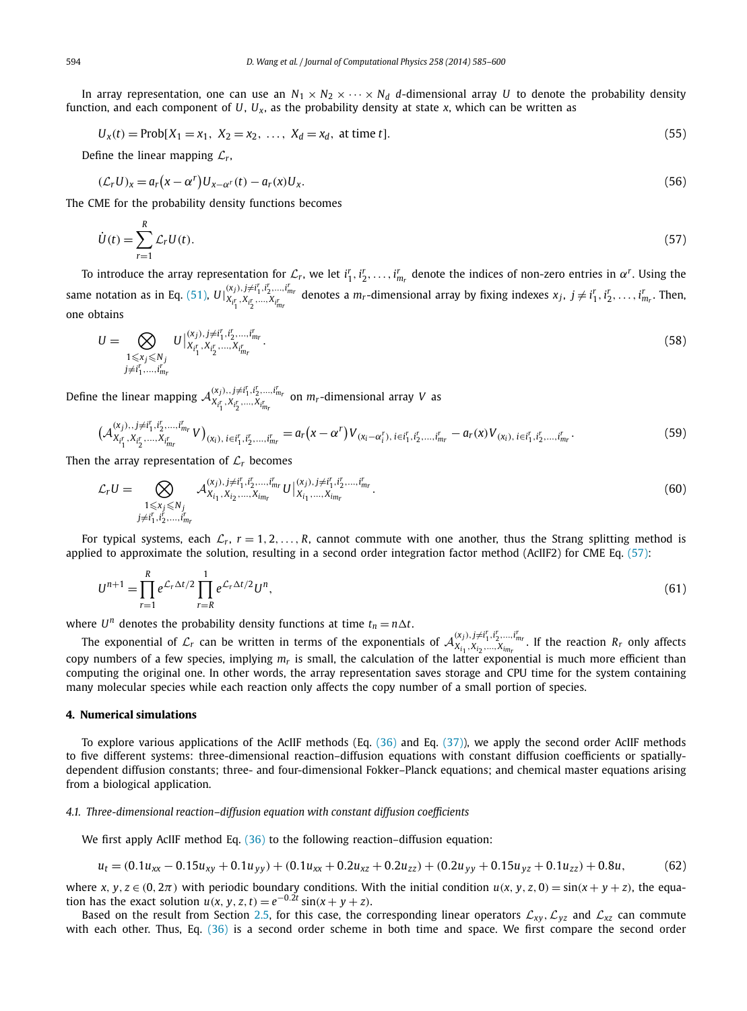In array representation, one can use an  $N_1 \times N_2 \times \cdots \times N_d$  *d*-dimensional array *U* to denote the probability density function, and each component of *U*,  $U_x$ , as the probability density at state *x*, which can be written as

$$
U_x(t) = \text{Prob}[X_1 = x_1, X_2 = x_2, \dots, X_d = x_d, \text{ at time } t].
$$
\n(55)

Define the linear mapping  $\mathcal{L}_r$ ,

$$
(\mathcal{L}_r U)_x = a_r (x - \alpha^r) U_{x - \alpha^r}(t) - a_r(x) U_x. \tag{56}
$$

The CME for the probability density functions becomes

$$
\dot{U}(t) = \sum_{r=1}^{R} \mathcal{L}_r U(t). \tag{57}
$$

To introduce the array representation for  $\mathcal{L}_r$ , we let  $i_1^r, i_2^r, \ldots, i_{m_r}^r$  denote the indices of non-zero entries in  $\alpha^r$ . Using the same notation as in Eq. [\(51\),](#page-8-0)  $U|_{X_{l_1}^r,X_{l_2}^r,...,X_{l_{m_r}^r}}^{(x_j),j\neq l_1^r,l_2^r,...,l_{m_r}^r}$  denotes a  $m_r$ -dimensional array by fixing indexes  $x_j,~j\neq l_1^r,l_2^r,\ldots,l_{m_r}^r.$  Then, one obtains

$$
U = \bigotimes_{\substack{1 \le x_j \le N_j \\ j \ne i_1^r, \dots, i_{m_r}^r}} U \big|_{X_{i_1^r}, X_{i_2^r}, \dots, X_{i_{m_r}^r}}^{(x_j), j \ne i_1^r, i_2^r, \dots, i_{m_r}^r}.
$$
\n
$$
(58)
$$

Define the linear mapping  ${\cal A}_{X_{t_1^r},X_{t_2^r},...,X_{t_{m_r}^r}}^{(x_j),\,j\neq l_1^r,t_2^r,...,t_{m_r}^r}$  on  $m_r$ -dimensional array V as

$$
\left(\mathcal{A}_{X_{i_1}^r, X_{i_2}^r, \ldots, X_{i_{m_r}^r}}^{(x_j), j \neq i_1^r, i_2^r, \ldots, i_{m_r}^r} V\right)_{(x_i), i \in i_1^r, i_2^r, \ldots, i_{m_r}^r} = a_r(x - \alpha^r) V_{(x_i - \alpha_i^r), i \in i_1^r, i_2^r, \ldots, i_{m_r}^r} - a_r(x) V_{(x_i), i \in i_1^r, i_2^r, \ldots, i_{m_r}^r}.
$$
\n
$$
(59)
$$

Then the array representation of  $\mathcal{L}_r$  becomes

$$
\mathcal{L}_{r}U = \bigotimes_{\substack{1 \leq x_{j} \leq N_{j} \\ j \neq i_{1}^{r}, i_{2}^{r}, \dots, i_{m_{r}}}} \mathcal{A}_{X_{i_{1}}, X_{i_{2}}, \dots, X_{i_{m_{r}}}^{(x_{j}), j \neq i_{1}^{r}, i_{2}^{r}, \dots, i_{m_{r}}^{r}} U \big|_{X_{i_{1}}, \dots, X_{i_{m_{r}}}^{(x_{j}), j \neq i_{1}^{r}, i_{2}^{r}, \dots, i_{m_{r}}}^{(x_{j}), j \neq i_{1}^{r}, i_{2}^{r}, \dots, i_{m_{r}}}.
$$
\n
$$
(60)
$$

For typical systems, each  $\mathcal{L}_r$ ,  $r = 1, 2, \ldots, R$ , cannot commute with one another, thus the Strang splitting method is applied to approximate the solution, resulting in a second order integration factor method (AcIIF2) for CME Eq. (57):

$$
U^{n+1} = \prod_{r=1}^{R} e^{\mathcal{L}_r \Delta t/2} \prod_{r=R}^{1} e^{\mathcal{L}_r \Delta t/2} U^n,
$$
\n(61)

where  $U^n$  denotes the probability density functions at time  $t_n = n\Delta t$ .

The exponential of  $\mathcal{L}_r$  can be written in terms of the exponentials of  $\mathcal{A}_{X_{i_1},X_{i_2},...,X_{i_{mr}}}^{(x_j),j\neq i_1^r,i_2^r,...,i_{mr}^r}$ . If the reaction  $R_r$  only affects copy numbers of a few species, implying *mr* is small, the calculation of the latter exponential is much more efficient than computing the original one. In other words, the array representation saves storage and CPU time for the system containing many molecular species while each reaction only affects the copy number of a small portion of species.

# **4. Numerical simulations**

To explore various applications of the AcIIF methods (Eq. [\(36\)](#page-5-0) and Eq. [\(37\)\)](#page-6-0), we apply the second order AcIIF methods to five different systems: three-dimensional reaction–diffusion equations with constant diffusion coefficients or spatiallydependent diffusion constants; three- and four-dimensional Fokker–Planck equations; and chemical master equations arising from a biological application.

# *4.1. Three-dimensional reaction–diffusion equation with constant diffusion coefficients*

We first apply AcIIF method Eq. [\(36\)](#page-5-0) to the following reaction-diffusion equation:

$$
u_t = (0.1u_{xx} - 0.15u_{xy} + 0.1u_{yy}) + (0.1u_{xx} + 0.2u_{xz} + 0.2u_{zz}) + (0.2u_{yy} + 0.15u_{yz} + 0.1u_{zz}) + 0.8u,
$$
(62)

where x, y, z  $\in$  (0, 2 $\pi$ ) with periodic boundary conditions. With the initial condition  $u(x, y, z, 0) = \sin(x + y + z)$ , the equation has the exact solution  $u(x, y, z, t) = e^{-0.2t} \sin(x + y + z)$ .

Based on the result from Section [2.5,](#page-6-0) for this case, the corresponding linear operators  $\mathcal{L}_{xy}$ ,  $\mathcal{L}_{yz}$  and  $\mathcal{L}_{xz}$  can commute with each other. Thus, Eq. [\(36\)](#page-5-0) is a second order scheme in both time and space. We first compare the second order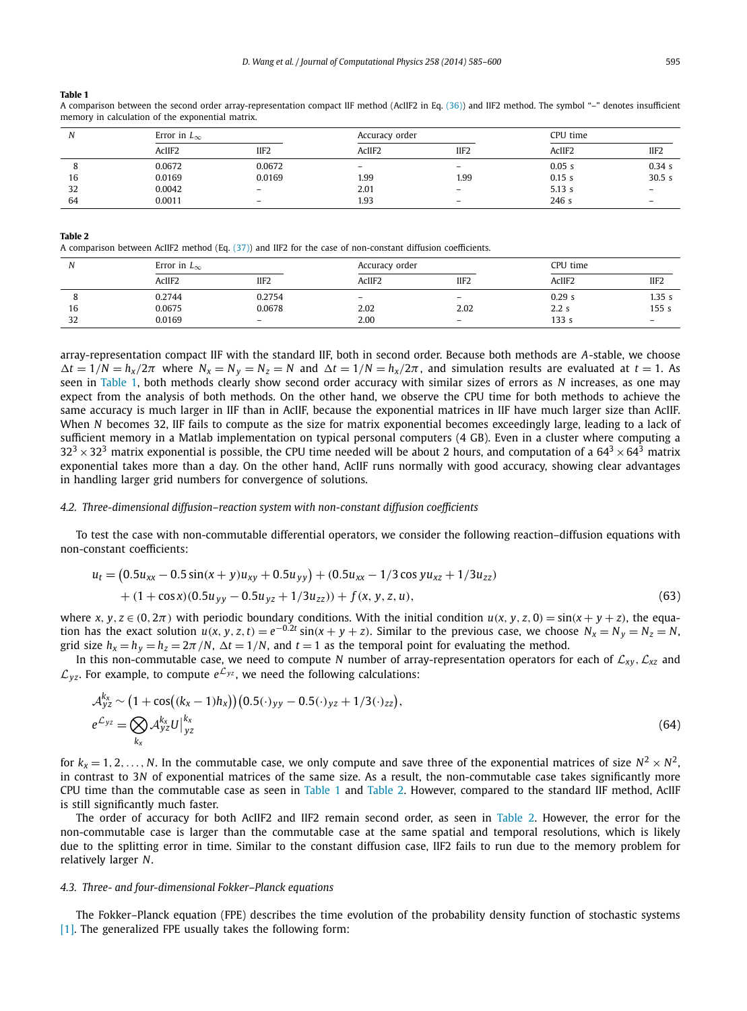#### **Table 1**

A comparison between the second order array-representation compact IIF method (AcIIF2 in Eq. [\(36\)\)](#page-5-0) and IIF2 method. The symbol "–" denotes insufficient memory in calculation of the exponential matrix.

| N  | Error in $L_{\infty}$ |                  | Accuracy order |                  | CPU time           |                          |  |
|----|-----------------------|------------------|----------------|------------------|--------------------|--------------------------|--|
|    | AcIIF2                | IIF <sub>2</sub> | AcIIF2         | IIF <sub>2</sub> | AcIIF <sub>2</sub> | IIF <sub>2</sub>         |  |
|    | 0.0672                | 0.0672           |                |                  | 0.05 s             | 0.34s                    |  |
| 16 | 0.0169                | 0.0169           | 1.99           | 1.99             | $0.15$ s           | 30.5 s                   |  |
| 32 | 0.0042                | -                | 2.01           |                  | 5.13s              | $\overline{\phantom{0}}$ |  |
| 64 | 0.0011                | -                | 1.93           | -                | 246 s              | $\overline{\phantom{0}}$ |  |

#### **Table 2**

A comparison between AcIIF2 method (Eq. [\(37\)\)](#page-6-0) and IIF2 for the case of non-constant diffusion coefficients.

| N  | Error in $L_{\infty}$ |                          | Accuracy order           |                  | CPU time |                  |  |
|----|-----------------------|--------------------------|--------------------------|------------------|----------|------------------|--|
|    | AcIIF2                | IIF <sub>2</sub>         | AcIIF2                   | IIF <sub>2</sub> | AcIIF2   | IIF <sub>2</sub> |  |
|    | 0.2744                | 0.2754                   | $\overline{\phantom{0}}$ | -                | 0.29s    | 1.35 s           |  |
| 16 | 0.0675                | 0.0678                   | 2.02                     | 2.02             | 2.2s     | 155s             |  |
| 32 | 0.0169                | $\overline{\phantom{0}}$ | 2.00                     | -                | 133 s    | $-$              |  |

array-representation compact IIF with the standard IIF, both in second order. Because both methods are *A*-stable, we choose  $\Delta t = 1/N = h_x/2\pi$  where  $N_x = N_y = N_z = N$  and  $\Delta t = 1/N = h_x/2\pi$ , and simulation results are evaluated at  $t = 1$ . As seen in Table 1, both methods clearly show second order accuracy with similar sizes of errors as *N* increases, as one may expect from the analysis of both methods. On the other hand, we observe the CPU time for both methods to achieve the same accuracy is much larger in IIF than in AcIIF, because the exponential matrices in IIF have much larger size than AcIIF. When *N* becomes 32, IIF fails to compute as the size for matrix exponential becomes exceedingly large, leading to a lack of sufficient memory in a Matlab implementation on typical personal computers (4 GB). Even in a cluster where computing a  $32<sup>3</sup> \times 32<sup>3</sup>$  matrix exponential is possible, the CPU time needed will be about 2 hours, and computation of a  $64<sup>3</sup> \times 64<sup>3</sup>$  matrix exponential takes more than a day. On the other hand, AcIIF runs normally with good accuracy, showing clear advantages in handling larger grid numbers for convergence of solutions.

# *4.2. Three-dimensional diffusion–reaction system with non-constant diffusion coefficients*

To test the case with non-commutable differential operators, we consider the following reaction–diffusion equations with non-constant coefficients:

$$
u_t = (0.5u_{xx} - 0.5\sin(x + y)u_{xy} + 0.5u_{yy}) + (0.5u_{xx} - 1/3\cos yu_{xz} + 1/3u_{zz})
$$
  
+ (1 + cosx)(0.5u\_{yy} - 0.5u\_{yz} + 1/3u\_{zz})) + f(x, y, z, u), (63)

where x, y, z  $\in$  (0,  $2\pi$ ) with periodic boundary conditions. With the initial condition  $u(x, y, z, 0) = \sin(x + y + z)$ , the equation has the exact solution  $u(x, y, z, t) = e^{-0.2t} \sin(x + y + z)$ . Similar to the previous case, we choose  $N_x = N_y = N_z = N$ , grid size  $h_x = h_y = h_z = 2\pi/N$ ,  $\Delta t = 1/N$ , and  $t = 1$  as the temporal point for evaluating the method.

In this non-commutable case, we need to compute N number of array-representation operators for each of  $\mathcal{L}_{xy}$ ,  $\mathcal{L}_{xz}$  and  $\mathcal{L}_{VZ}$ . For example, to compute  $e^{\mathcal{L}_{VZ}}$ , we need the following calculations:

$$
\mathcal{A}_{yz}^{k_x} \sim (1 + \cos((k_x - 1)h_x))(0.5(\cdot)_{yy} - 0.5(\cdot)_{yz} + 1/3(\cdot)_{zz}),
$$
  
\n
$$
e^{\mathcal{L}_{yz}} = \bigotimes_{k_x} \mathcal{A}_{yz}^{k_x} U\big|_{yz}^{k_x}
$$
\n(64)

for  $k_x = 1, 2, \ldots, N$ . In the commutable case, we only compute and save three of the exponential matrices of size  $N^2 \times N^2$ , in contrast to 3*N* of exponential matrices of the same size. As a result, the non-commutable case takes significantly more CPU time than the commutable case as seen in Table 1 and Table 2. However, compared to the standard IIF method, AcIIF is still significantly much faster.

The order of accuracy for both AcIIF2 and IIF2 remain second order, as seen in Table 2. However, the error for the non-commutable case is larger than the commutable case at the same spatial and temporal resolutions, which is likely due to the splitting error in time. Similar to the constant diffusion case, IIF2 fails to run due to the memory problem for relatively larger *N*.

### *4.3. Three- and four-dimensional Fokker–Planck equations*

The Fokker–Planck equation (FPE) describes the time evolution of the probability density function of stochastic systems [\[1\].](#page-14-0) The generalized FPE usually takes the following form: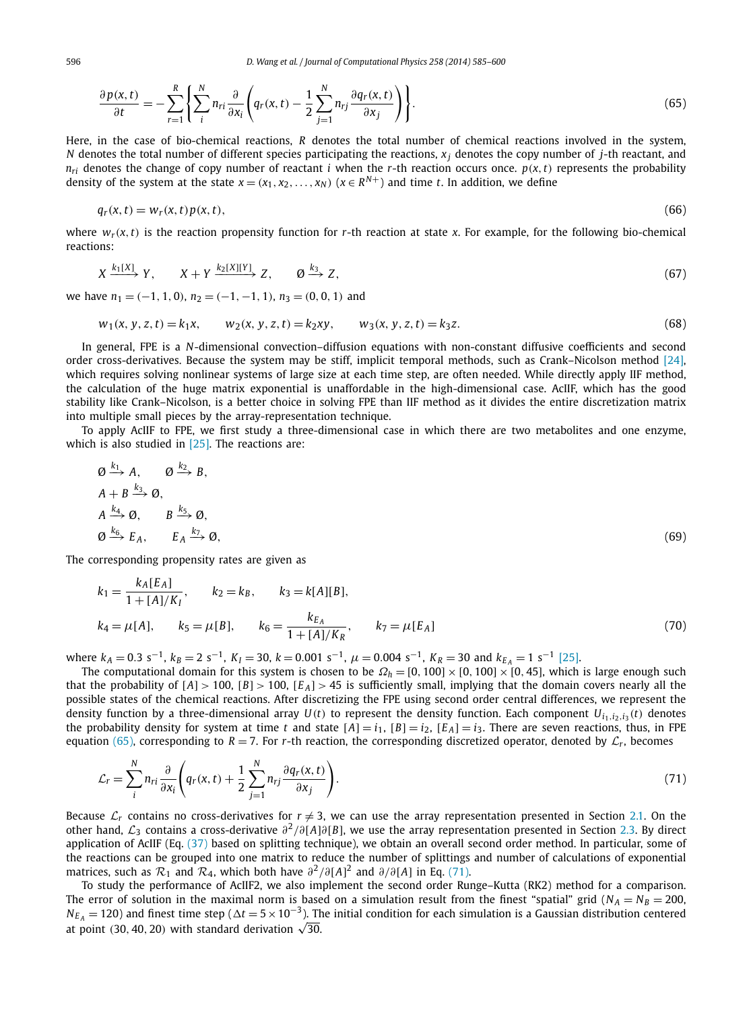$$
\frac{\partial p(x,t)}{\partial t} = -\sum_{r=1}^{R} \left\{ \sum_{i=1}^{N} n_{ri} \frac{\partial}{\partial x_{i}} \left( q_{r}(x,t) - \frac{1}{2} \sum_{j=1}^{N} n_{rj} \frac{\partial q_{r}(x,t)}{\partial x_{j}} \right) \right\}.
$$
\n(65)

Here, in the case of bio-chemical reactions, *R* denotes the total number of chemical reactions involved in the system, *N* denotes the total number of different species participating the reactions,  $x_i$  denotes the copy number of *j*-th reactant, and  $n_{ri}$  denotes the change of copy number of reactant *i* when the *r*-th reaction occurs once.  $p(x, t)$  represents the probability density of the system at the state  $x = (x_1, x_2, \ldots, x_N)$  ( $x \in R^{N+}$ ) and time *t*. In addition, we define

$$
q_r(x,t) = w_r(x,t)p(x,t),
$$
\n(66)

where  $w_r(x, t)$  is the reaction propensity function for *r*-th reaction at state *x*. For example, for the following bio-chemical reactions:

$$
X \xrightarrow{k_1[X]} Y, \qquad X + Y \xrightarrow{k_2[X][Y]} Z, \qquad \emptyset \xrightarrow{k_3} Z,
$$
\n
$$
(67)
$$

we have  $n_1 = (-1, 1, 0)$ ,  $n_2 = (-1, -1, 1)$ ,  $n_3 = (0, 0, 1)$  and

$$
w_1(x, y, z, t) = k_1 x, \qquad w_2(x, y, z, t) = k_2 xy, \qquad w_3(x, y, z, t) = k_3 z.
$$
 (68)

In general, FPE is a *N*-dimensional convection–diffusion equations with non-constant diffusive coefficients and second order cross-derivatives. Because the system may be stiff, implicit temporal methods, such as Crank–Nicolson method [\[24\],](#page-15-0) which requires solving nonlinear systems of large size at each time step, are often needed. While directly apply IIF method, the calculation of the huge matrix exponential is unaffordable in the high-dimensional case. AcIIF, which has the good stability like Crank–Nicolson, is a better choice in solving FPE than IIF method as it divides the entire discretization matrix into multiple small pieces by the array-representation technique.

To apply AcIIF to FPE, we first study a three-dimensional case in which there are two metabolites and one enzyme, which is also studied in  $[25]$ . The reactions are:

$$
\begin{array}{ll}\n\mathcal{Q} & \stackrel{k_1}{\longrightarrow} A, & \mathcal{Q} & \stackrel{k_2}{\longrightarrow} B, \\
A + B & \stackrel{k_3}{\longrightarrow} \mathcal{Q}, \\
A & \stackrel{k_4}{\longrightarrow} \mathcal{Q}, & B & \stackrel{k_5}{\longrightarrow} \mathcal{Q}, \\
\mathcal{Q} & \stackrel{k_6}{\longrightarrow} E_A, & E_A & \stackrel{k_7}{\longrightarrow} \mathcal{Q},\n\end{array} \tag{69}
$$

The corresponding propensity rates are given as

$$
k_1 = \frac{k_A[E_A]}{1 + [A]/K_I}, \qquad k_2 = k_B, \qquad k_3 = k[A][B],
$$
  
\n
$$
k_4 = \mu[A], \qquad k_5 = \mu[B], \qquad k_6 = \frac{k_{E_A}}{1 + [A]/K_R}, \qquad k_7 = \mu[E_A]
$$
\n(70)

where  $k_A = 0.3$  s<sup>-1</sup>,  $k_B = 2$  s<sup>-1</sup>,  $K_I = 30$ ,  $k = 0.001$  s<sup>-1</sup>,  $\mu = 0.004$  s<sup>-1</sup>,  $K_R = 30$  and  $k_{A} = 1$  s<sup>-1</sup> [\[25\].](#page-15-0)

The computational domain for this system is chosen to be  $\Omega_h = [0, 100] \times [0, 100] \times [0, 45]$ , which is large enough such that the probability of  $[A] > 100$ ,  $[B] > 100$ ,  $[E_A] > 45$  is sufficiently small, implying that the domain covers nearly all the possible states of the chemical reactions. After discretizing the FPE using second order central differences, we represent the density function by a three-dimensional array  $U(t)$  to represent the density function. Each component  $U_{i_1,i_2,i_3}(t)$  denotes the probability density for system at time *t* and state  $[A] = i_1$ ,  $[B] = i_2$ ,  $[E_A] = i_3$ . There are seven reactions, thus, in FPE equation (65), corresponding to  $R = 7$ . For *r*-th reaction, the corresponding discretized operator, denoted by  $\mathcal{L}_r$ , becomes

$$
\mathcal{L}_r = \sum_{i}^{N} n_{ri} \frac{\partial}{\partial x_i} \left( q_r(x, t) + \frac{1}{2} \sum_{j=1}^{N} n_{rj} \frac{\partial q_r(x, t)}{\partial x_j} \right).
$$
\n(71)

Because  $\mathcal{L}_r$  contains no cross-derivatives for  $r \neq 3$ , we can use the array representation presented in Section [2.1.](#page-1-0) On the other hand, <sup>L</sup><sup>3</sup> contains a cross-derivative *<sup>∂</sup>*<sup>2</sup>*/∂*[*A*]*∂*[*B*], we use the array representation presented in Section [2.3.](#page-4-0) By direct application of AcIIF (Eq. [\(37\)](#page-6-0) based on splitting technique), we obtain an overall second order method. In particular, some of the reactions can be grouped into one matrix to reduce the number of splittings and number of calculations of exponential matrices, such as  $\mathcal{R}_1$  and  $\mathcal{R}_4$ , which both have  $\partial^2/\partial[A]^2$  and  $\partial/\partial[A]$  in Eq. (71).

To study the performance of AcIIF2, we also implement the second order Runge–Kutta (RK2) method for a comparison. The error of solution in the maximal norm is based on a simulation result from the finest "spatial" grid ( $N_A = N_B = 200$ ,  $N_{E_A}$  = 120) and finest time step ( $\Delta t$  = 5  $\times$  10<sup>-3</sup>). The initial condition for each simulation is a Gaussian distribution centered at point  $(30, 40, 20)$  with standard derivation  $\sqrt{30}$ .

<span id="page-11-0"></span>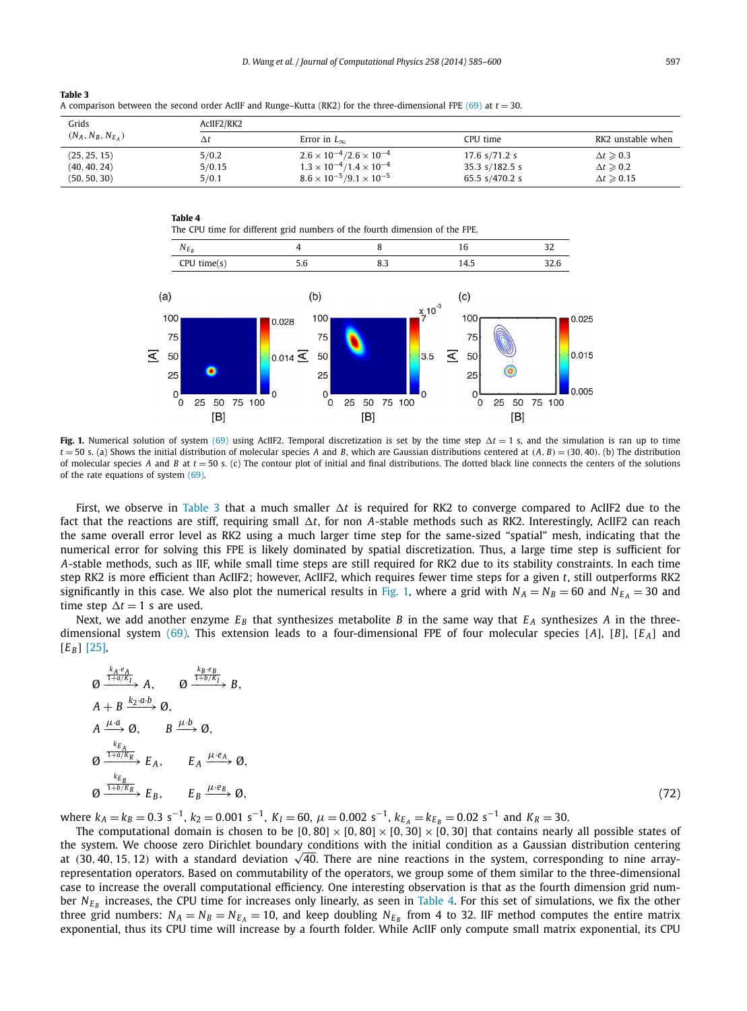#### <span id="page-12-0"></span>**Table 3**

|  | A comparison between the second order AcIIF and Runge-Kutta (RK2) for the three-dimensional FPE (69) at $t = 30$ . |  |  |  |  |  |  |  |
|--|--------------------------------------------------------------------------------------------------------------------|--|--|--|--|--|--|--|
|  |                                                                                                                    |  |  |  |  |  |  |  |

| Grids                 | AcIIF2/RK2 |                                             |                  |                           |  |  |  |
|-----------------------|------------|---------------------------------------------|------------------|---------------------------|--|--|--|
| $(N_A, N_B, N_{E_A})$ | $\Delta t$ | Error in $L_{\infty}$                       | CPU time         | RK2 unstable when         |  |  |  |
| (25, 25, 15)          | 5/0.2      | $2.6 \times 10^{-4}$ /2.6 $\times 10^{-4}$  | 17.6 $s/71.2$ s  | $\Delta t \geqslant 0.3$  |  |  |  |
| (40, 40, 24)          | 5/0.15     | $1.3 \times 10^{-4}/1.4 \times 10^{-4}$     | 35.3 $s/182.5 s$ | $\Delta t \geqslant 0.2$  |  |  |  |
| (50, 50, 30)          | 5/0.1      | $8.6 \times 10^{-5}$ / $9.1 \times 10^{-5}$ | 65.5 $s/470.2$ s | $\Delta t \geqslant 0.15$ |  |  |  |



**Fig. 1.** Numerical solution of system [\(69\)](#page-11-0) using AcIIF2. Temporal discretization is set by the time step  $\Delta t = 1$  s, and the simulation is ran up to time  $t = 50$  s. (a) Shows the initial distribution of molecular species A and B, which are Gaussian distributions centered at  $(A, B) = (30, 40)$ . (b) The distribution of molecular species *A* and *B* at *t* = 50 s. (c) The contour plot of initial and final distributions. The dotted black line connects the centers of the solutions of the rate equations of system [\(69\).](#page-11-0)

First, we observe in Table 3 that a much smaller  $\Delta t$  is required for RK2 to converge compared to AcIIF2 due to the fact that the reactions are stiff, requiring small  $\Delta t$ , for non *A*-stable methods such as RK2. Interestingly, AcIIF2 can reach the same overall error level as RK2 using a much larger time step for the same-sized "spatial" mesh, indicating that the numerical error for solving this FPE is likely dominated by spatial discretization. Thus, a large time step is sufficient for *A*-stable methods, such as IIF, while small time steps are still required for RK2 due to its stability constraints. In each time step RK2 is more efficient than AcIIF2; however, AcIIF2, which requires fewer time steps for a given *t*, still outperforms RK2 significantly in this case. We also plot the numerical results in Fig. 1, where a grid with  $N_A = N_B = 60$  and  $N_{E_A} = 30$  and time step  $\Delta t = 1$  s are used.

Next, we add another enzyme  $E_B$  that synthesizes metabolite *B* in the same way that  $E_A$  synthesizes *A* in the threedimensional system [\(69\).](#page-11-0) This extension leads to a four-dimensional FPE of four molecular species [*A*], [*B*], [*E <sup>A</sup>*] and  $[E_R]$  [\[25\],](#page-15-0)

$$
\emptyset \xrightarrow{\frac{k_A \cdot e_A}{1+a/K_I}} A, \qquad \emptyset \xrightarrow{\frac{k_B \cdot e_B}{1+b/K_I}} B,
$$
  
\n
$$
A + B \xrightarrow{\mu \cdot a} \emptyset, \qquad B \xrightarrow{\mu \cdot b} \emptyset,
$$
  
\n
$$
\emptyset \xrightarrow{\frac{k_E}{1+a/K_R}} E_A, \qquad E_A \xrightarrow{\mu \cdot e_A} \emptyset,
$$
  
\n
$$
\emptyset \xrightarrow{\frac{k_E}{1+b/K_R}} E_B, \qquad E_B \xrightarrow{\mu \cdot e_B} \emptyset,
$$
\n(72)

where  $k_A = k_B = 0.3 \text{ s}^{-1}$ ,  $k_2 = 0.001 \text{ s}^{-1}$ ,  $K_I = 60$ ,  $\mu = 0.002 \text{ s}^{-1}$ ,  $k_{E_A} = k_{E_B} = 0.02 \text{ s}^{-1}$  and  $K_R = 30$ .

The computational domain is chosen to be  $[0, 80] \times [0, 80] \times [0, 30] \times [0, 30]$  that contains nearly all possible states of the system. We choose zero Dirichlet boundary conditions with the initial condition as a Gaussian distribution centering at *(*30*,* <sup>40</sup>*,* <sup>15</sup>*,* <sup>12</sup>*)* with a standard deviation <sup>√</sup>40. There are nine reactions in the system, corresponding to nine arrayrepresentation operators. Based on commutability of the operators, we group some of them similar to the three-dimensional case to increase the overall computational efficiency. One interesting observation is that as the fourth dimension grid number  $N_{E_R}$  increases, the CPU time for increases only linearly, as seen in Table 4. For this set of simulations, we fix the other three grid numbers:  $N_A = N_B = N_{E_A} = 10$ , and keep doubling  $N_{E_B}$  from 4 to 32. IIF method computes the entire matrix exponential, thus its CPU time will increase by a fourth folder. While AcIIF only compute small matrix exponential, its CPU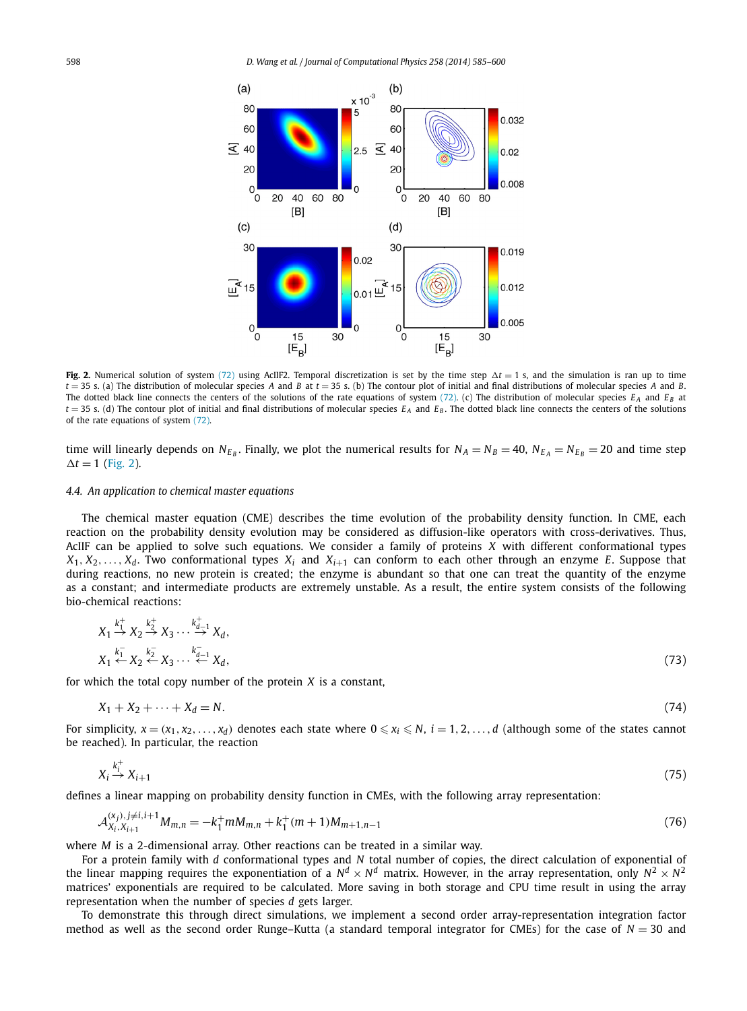

**Fig. 2.** Numerical solution of system [\(72\)](#page-12-0) using AcIIF2. Temporal discretization is set by the time step  $\Delta t = 1$  s, and the simulation is ran up to time  $t = 35$  s. (a) The distribution of molecular species *A* and *B* at  $t = 35$  s. (b) The contour plot of initial and final distributions of molecular species *A* and *B*. The dotted black line connects the centers of the solutions of the rate equations of system [\(72\).](#page-12-0) (c) The distribution of molecular species  $E_A$  and  $E_B$  at  $t = 35$  s. (d) The contour plot of initial and final distributions of molecular species  $E_A$  and  $E_B$ . The dotted black line connects the centers of the solutions of the rate equations of system [\(72\).](#page-12-0)

time will linearly depends on  $N_{En}$ . Finally, we plot the numerical results for  $N_A = N_B = 40$ ,  $N_{En} = 20$  and time step  $\Delta t = 1$  (Fig. 2).

# *4.4. An application to chemical master equations*

The chemical master equation (CME) describes the time evolution of the probability density function. In CME, each reaction on the probability density evolution may be considered as diffusion-like operators with cross-derivatives. Thus, AcIIF can be applied to solve such equations. We consider a family of proteins *X* with different conformational types  $X_1, X_2, \ldots, X_d$ . Two conformational types  $X_i$  and  $X_{i+1}$  can conform to each other through an enzyme *E*. Suppose that during reactions, no new protein is created; the enzyme is abundant so that one can treat the quantity of the enzyme as a constant; and intermediate products are extremely unstable. As a result, the entire system consists of the following bio-chemical reactions:

$$
X_1 \stackrel{k_1^+}{\rightarrow} X_2 \stackrel{k_2^+}{\rightarrow} X_3 \cdots \stackrel{k_{d-1}^-}{\rightarrow} X_d,
$$
  
\n
$$
X_1 \stackrel{k_1^-}{\leftarrow} X_2 \stackrel{k_2^-}{\leftarrow} X_3 \cdots \stackrel{k_{d-1}^-}{\leftarrow} X_d,
$$
\n
$$
(73)
$$

for which the total copy number of the protein *X* is a constant,

$$
X_1 + X_2 + \dots + X_d = N. \tag{74}
$$

For simplicity,  $x = (x_1, x_2, \ldots, x_d)$  denotes each state where  $0 \le x_i \le N$ ,  $i = 1, 2, \ldots, d$  (although some of the states cannot be reached). In particular, the reaction

$$
X_i \stackrel{k_i^+}{\to} X_{i+1} \tag{75}
$$

defines a linear mapping on probability density function in CMEs, with the following array representation:

$$
\mathcal{A}_{X_i, X_{i+1}}^{(x_j), j \neq i, i+1} M_{m,n} = -k_1^+ m M_{m,n} + k_1^+(m+1) M_{m+1,n-1} \tag{76}
$$

where *M* is a 2-dimensional array. Other reactions can be treated in a similar way.

For a protein family with *d* conformational types and *N* total number of copies, the direct calculation of exponential of the linear mapping requires the exponentiation of a  $N^d \times N^d$  matrix. However, in the array representation, only  $N^2 \times N^2$ matrices' exponentials are required to be calculated. More saving in both storage and CPU time result in using the array representation when the number of species *d* gets larger.

To demonstrate this through direct simulations, we implement a second order array-representation integration factor method as well as the second order Runge–Kutta (a standard temporal integrator for CMEs) for the case of  $N = 30$  and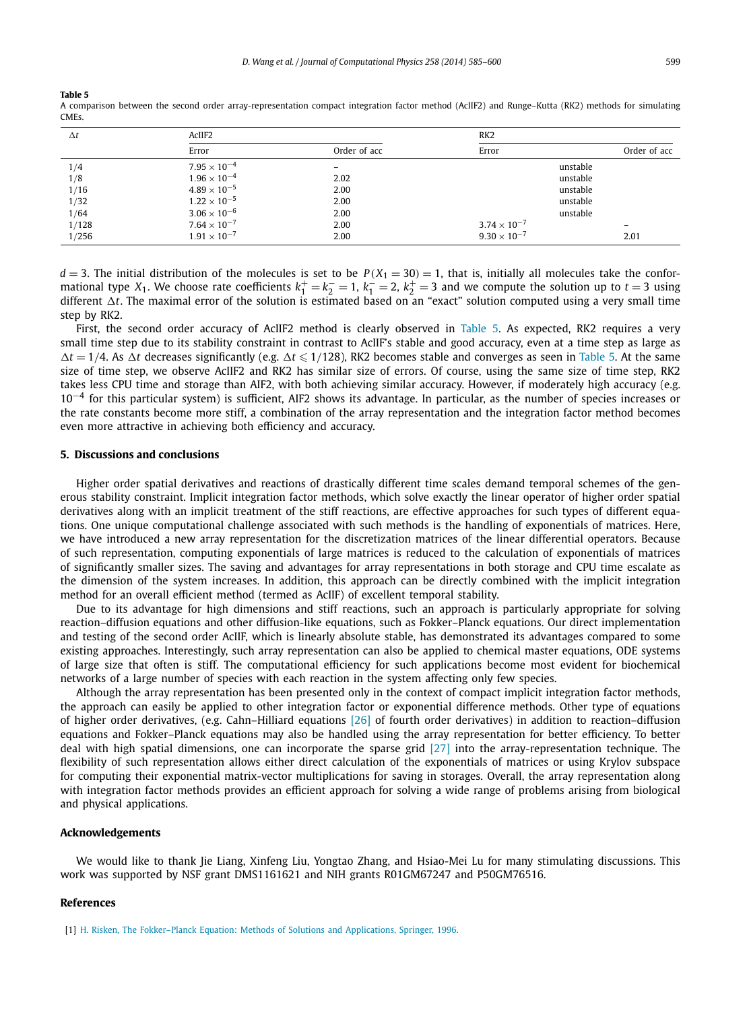<span id="page-14-0"></span>**Table 5**

| $\Delta t$ | AcIIF2                |              | RK <sub>2</sub>       |                          |  |  |  |
|------------|-----------------------|--------------|-----------------------|--------------------------|--|--|--|
|            | Error                 | Order of acc | Error                 | Order of acc             |  |  |  |
| 1/4        | $7.95 \times 10^{-4}$ |              | unstable              |                          |  |  |  |
| 1/8        | $1.96 \times 10^{-4}$ | 2.02         | unstable              |                          |  |  |  |
| 1/16       | $4.89 \times 10^{-5}$ | 2.00         | unstable              |                          |  |  |  |
| 1/32       | $1.22 \times 10^{-5}$ | 2.00         | unstable              |                          |  |  |  |
| 1/64       | $3.06 \times 10^{-6}$ | 2.00         | unstable              |                          |  |  |  |
| 1/128      | $7.64 \times 10^{-7}$ | 2.00         | $3.74 \times 10^{-7}$ | $\overline{\phantom{0}}$ |  |  |  |
| 1/256      | $1.91 \times 10^{-7}$ | 2.00         | $9.30 \times 10^{-7}$ | 2.01                     |  |  |  |

A comparison between the second order array-representation compact integration factor method (AcIIF2) and Runge–Kutta (RK2) methods for simulating **CMEs** 

 $d = 3$ . The initial distribution of the molecules is set to be  $P(X_1 = 30) = 1$ , that is, initially all molecules take the conformational type  $X_1$ . We choose rate coefficients  $k_1^+ = k_2^- = 1$ ,  $k_1^- = 2$ ,  $k_2^+ = 3$  and we compute the solution up to  $t = 3$  using different  $\Delta t$ . The maximal error of the solution is estimated based on an "exact" solution computed using a very small time step by RK2.

First, the second order accuracy of AcIIF2 method is clearly observed in Table 5. As expected, RK2 requires a very small time step due to its stability constraint in contrast to AcIIF's stable and good accuracy, even at a time step as large as  $\Delta t = 1/4$ . As  $\Delta t$  decreases significantly (e.g.  $\Delta t \leq 1/128$ ), RK2 becomes stable and converges as seen in Table 5. At the same size of time step, we observe AcIIF2 and RK2 has similar size of errors. Of course, using the same size of time step, RK2 takes less CPU time and storage than AIF2, with both achieving similar accuracy. However, if moderately high accuracy (e.g. 10−<sup>4</sup> for this particular system) is sufficient, AIF2 shows its advantage. In particular, as the number of species increases or the rate constants become more stiff, a combination of the array representation and the integration factor method becomes even more attractive in achieving both efficiency and accuracy.

# **5. Discussions and conclusions**

Higher order spatial derivatives and reactions of drastically different time scales demand temporal schemes of the generous stability constraint. Implicit integration factor methods, which solve exactly the linear operator of higher order spatial derivatives along with an implicit treatment of the stiff reactions, are effective approaches for such types of different equations. One unique computational challenge associated with such methods is the handling of exponentials of matrices. Here, we have introduced a new array representation for the discretization matrices of the linear differential operators. Because of such representation, computing exponentials of large matrices is reduced to the calculation of exponentials of matrices of significantly smaller sizes. The saving and advantages for array representations in both storage and CPU time escalate as the dimension of the system increases. In addition, this approach can be directly combined with the implicit integration method for an overall efficient method (termed as AcIIF) of excellent temporal stability.

Due to its advantage for high dimensions and stiff reactions, such an approach is particularly appropriate for solving reaction–diffusion equations and other diffusion-like equations, such as Fokker–Planck equations. Our direct implementation and testing of the second order AcIIF, which is linearly absolute stable, has demonstrated its advantages compared to some existing approaches. Interestingly, such array representation can also be applied to chemical master equations, ODE systems of large size that often is stiff. The computational efficiency for such applications become most evident for biochemical networks of a large number of species with each reaction in the system affecting only few species.

Although the array representation has been presented only in the context of compact implicit integration factor methods, the approach can easily be applied to other integration factor or exponential difference methods. Other type of equations of higher order derivatives, (e.g. Cahn–Hilliard equations [\[26\]](#page-15-0) of fourth order derivatives) in addition to reaction–diffusion equations and Fokker–Planck equations may also be handled using the array representation for better efficiency. To better deal with high spatial dimensions, one can incorporate the sparse grid [\[27\]](#page-15-0) into the array-representation technique. The flexibility of such representation allows either direct calculation of the exponentials of matrices or using Krylov subspace for computing their exponential matrix-vector multiplications for saving in storages. Overall, the array representation along with integration factor methods provides an efficient approach for solving a wide range of problems arising from biological and physical applications.

# **Acknowledgements**

We would like to thank Jie Liang, Xinfeng Liu, Yongtao Zhang, and Hsiao-Mei Lu for many stimulating discussions. This work was supported by NSF grant DMS1161621 and NIH grants R01GM67247 and P50GM76516.

### **References**

<sup>[1]</sup> [H. Risken, The Fokker–Planck Equation: Methods of Solutions and Applications, Springer, 1996.](http://refhub.elsevier.com/S0021-9991(13)00748-1/bib723936s1)